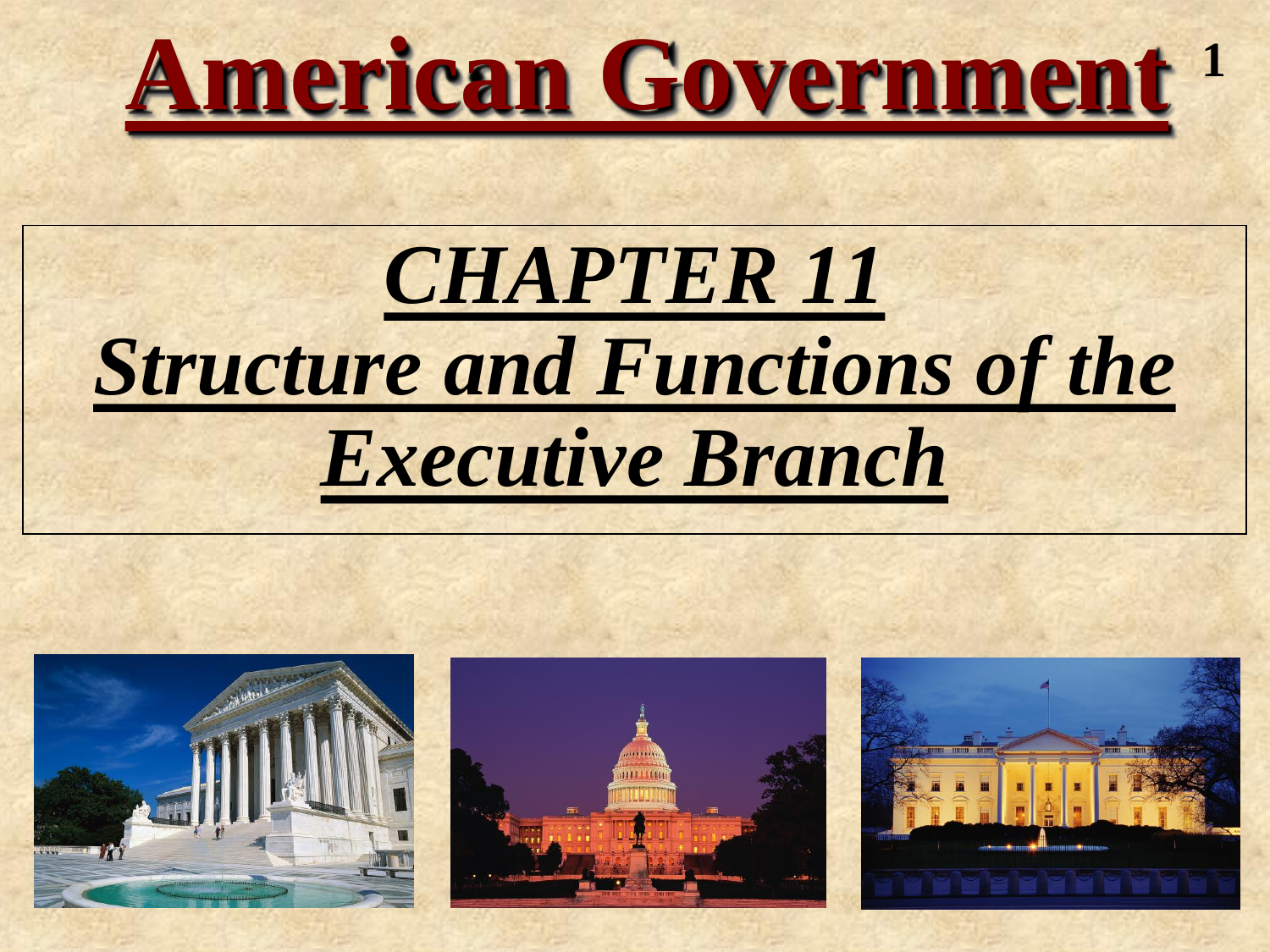

## *CHAPTER 11 Structure and Functions of the Executive Branch*





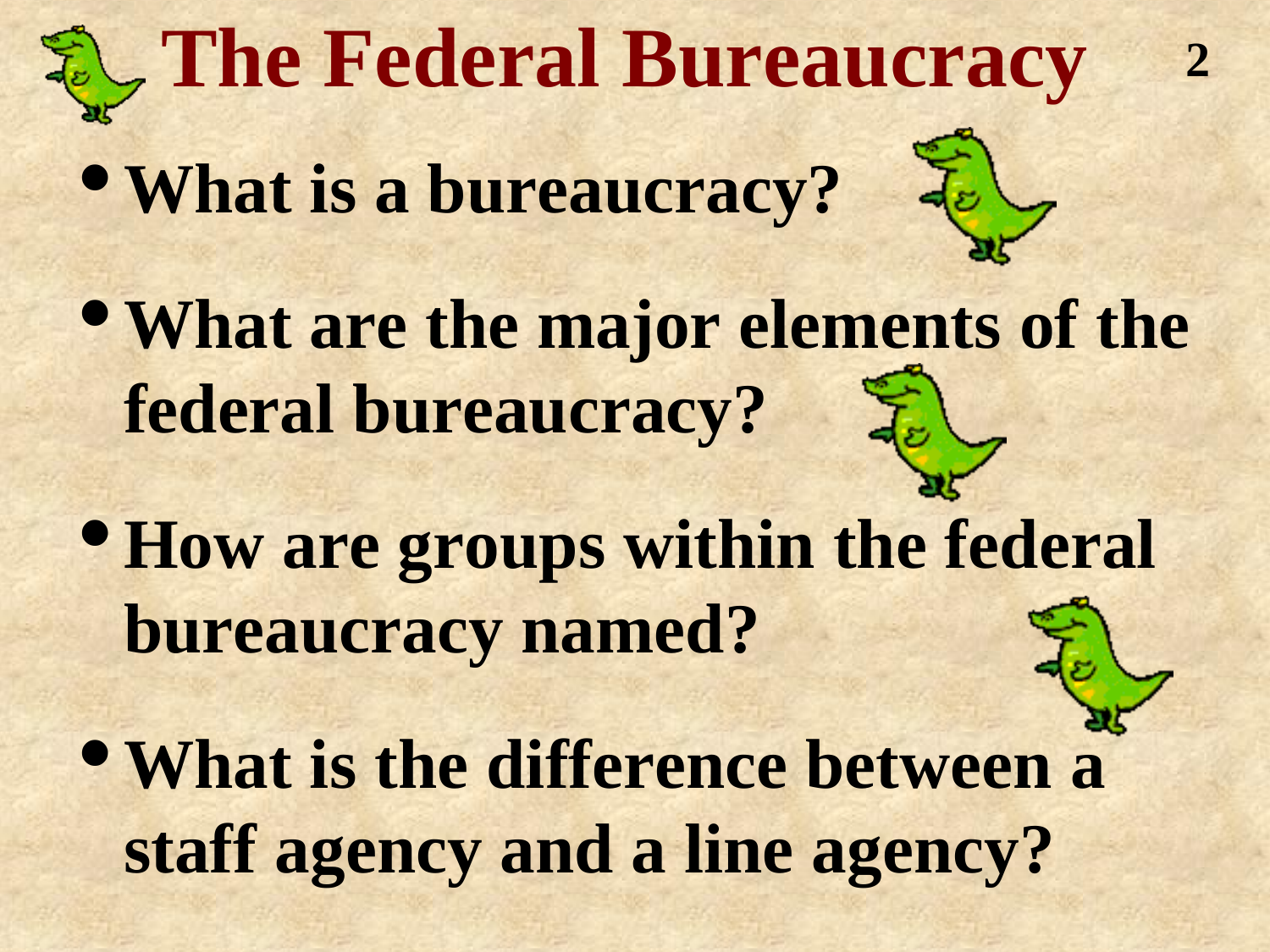### **The Federal Bureaucracy**

•**What is a bureaucracy?**

•**What are the major elements of the federal bureaucracy?**

**2**

- •**How are groups within the federal bureaucracy named?**
- •**What is the difference between a staff agency and a line agency?**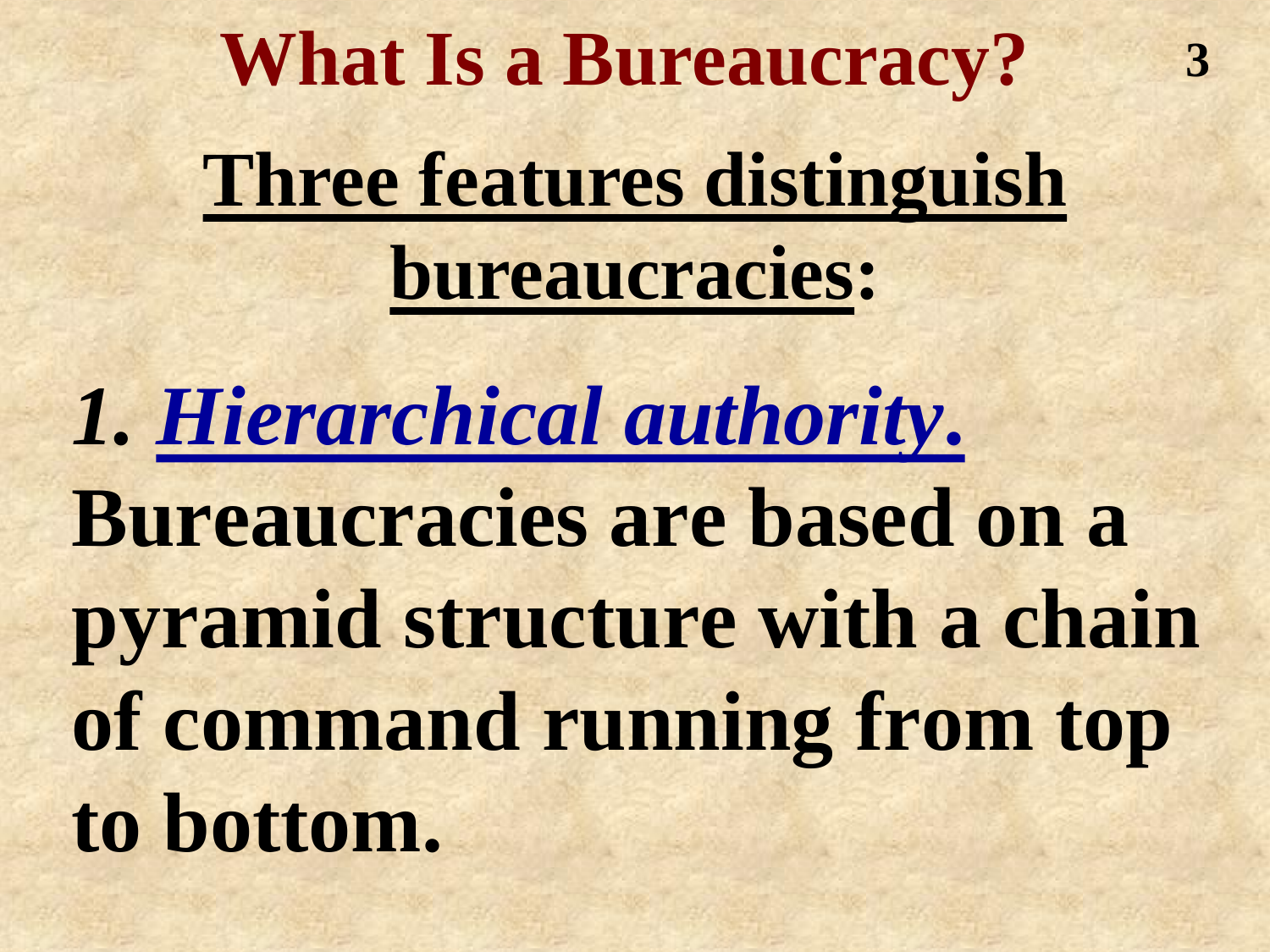**Three features distinguish bureaucracies: What Is a Bureaucracy?**

**3**

*1. Hierarchical authority***.**

**Bureaucracies are based on a pyramid structure with a chain of command running from top to bottom.**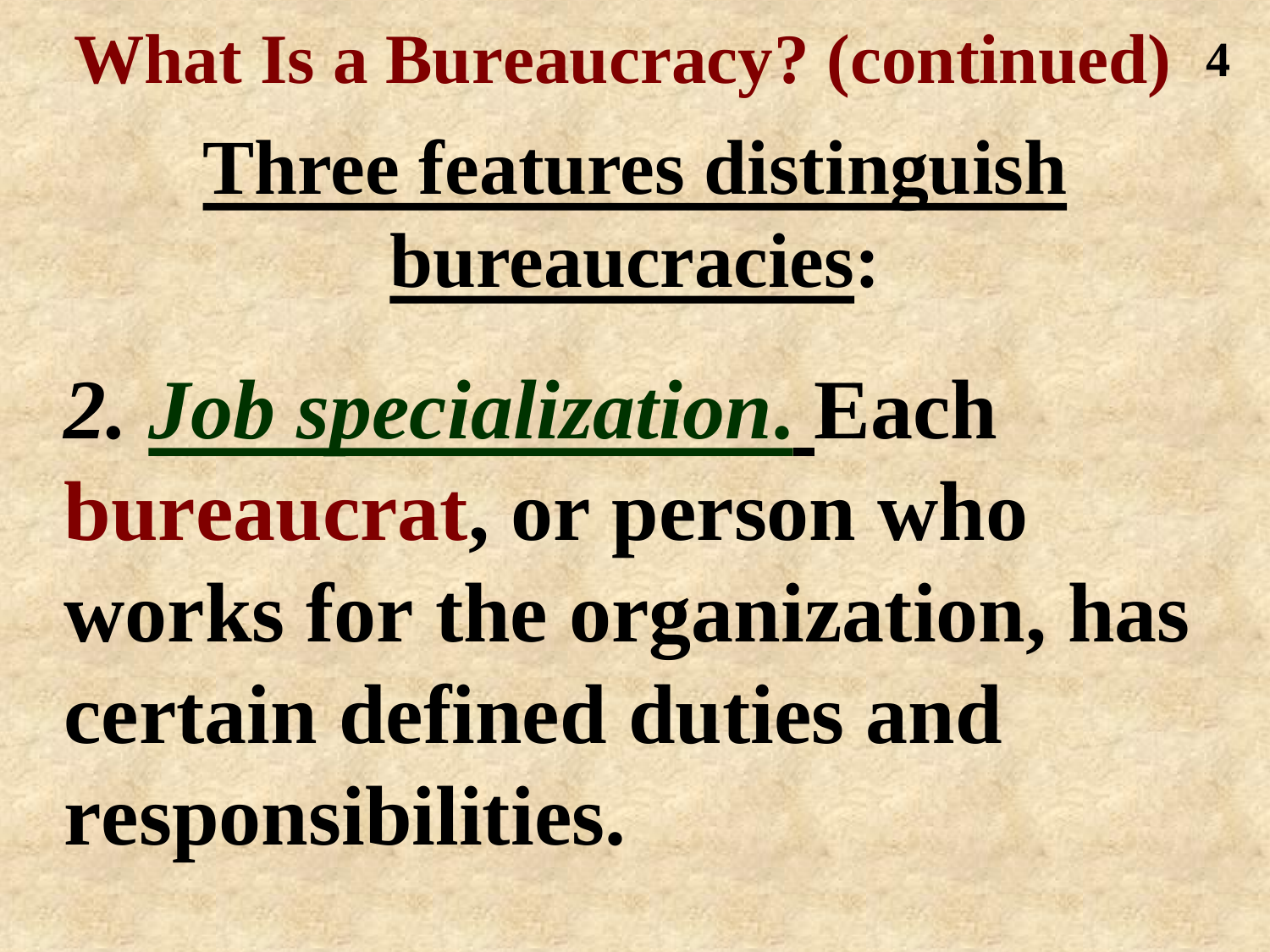**Three features distinguish bureaucracies: What Is a Bureaucracy? (continued) 4**

*2. Job specialization***. Each bureaucrat, or person who works for the organization, has certain defined duties and responsibilities.**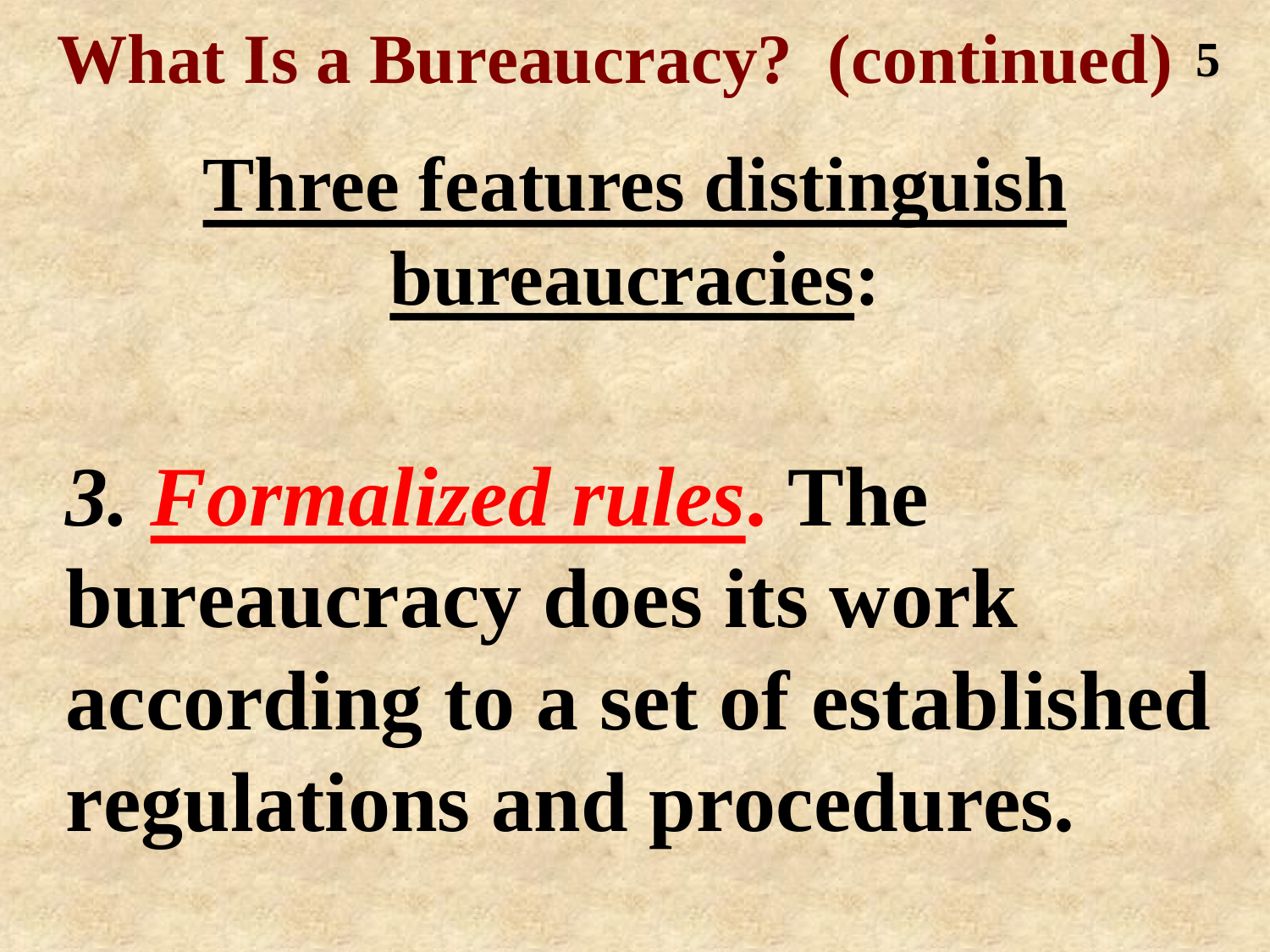**What Is a Bureaucracy? (continued) 5**

### **Three features distinguish bureaucracies:**

*3. Formalized rules***. The bureaucracy does its work according to a set of established regulations and procedures.**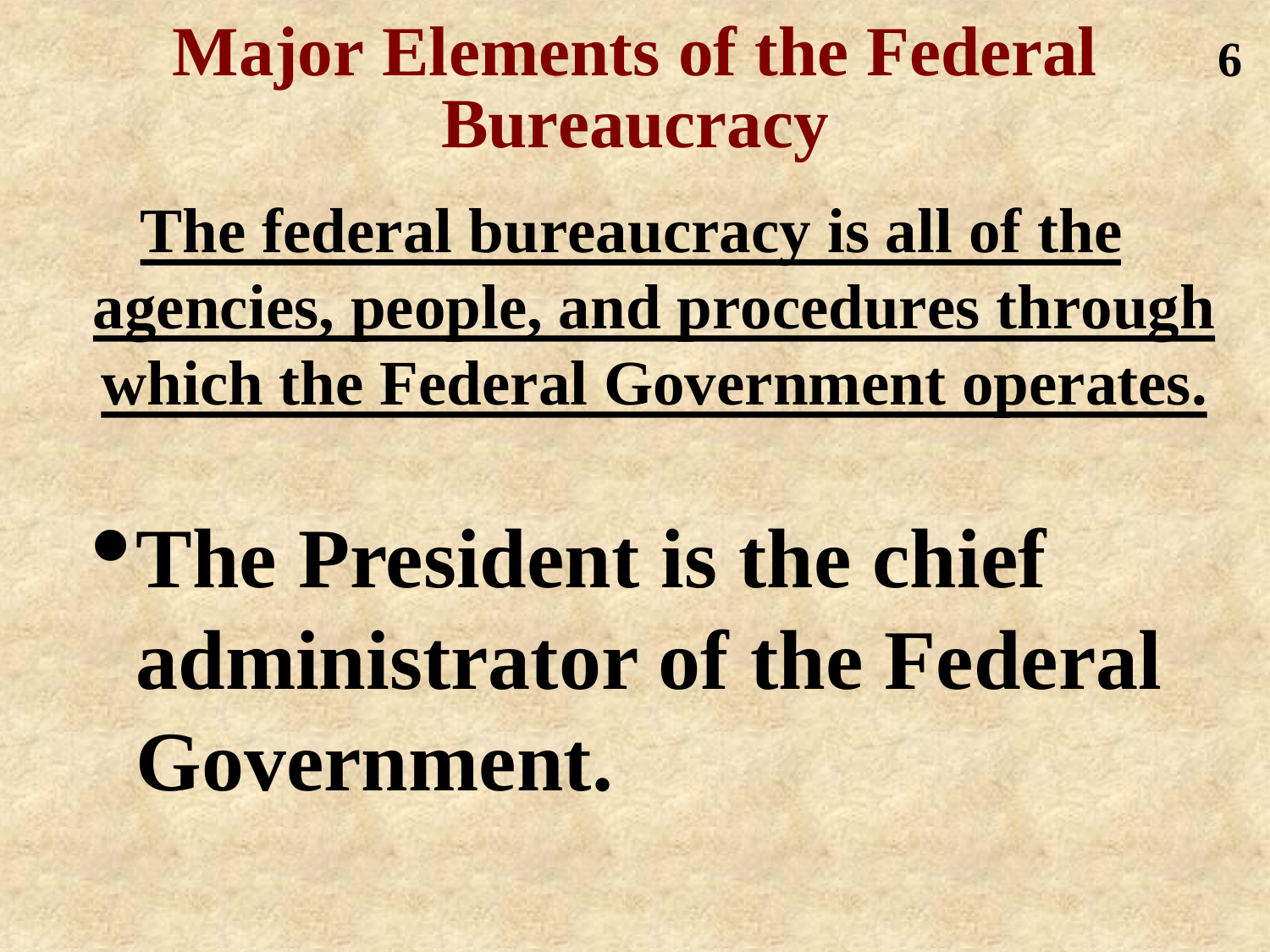#### **Major Elements of the Federal Bureaucracy**

**6**

**The federal bureaucracy is all of the agencies, people, and procedures through which the Federal Government operates.**

•**The President is the chief administrator of the Federal Government.**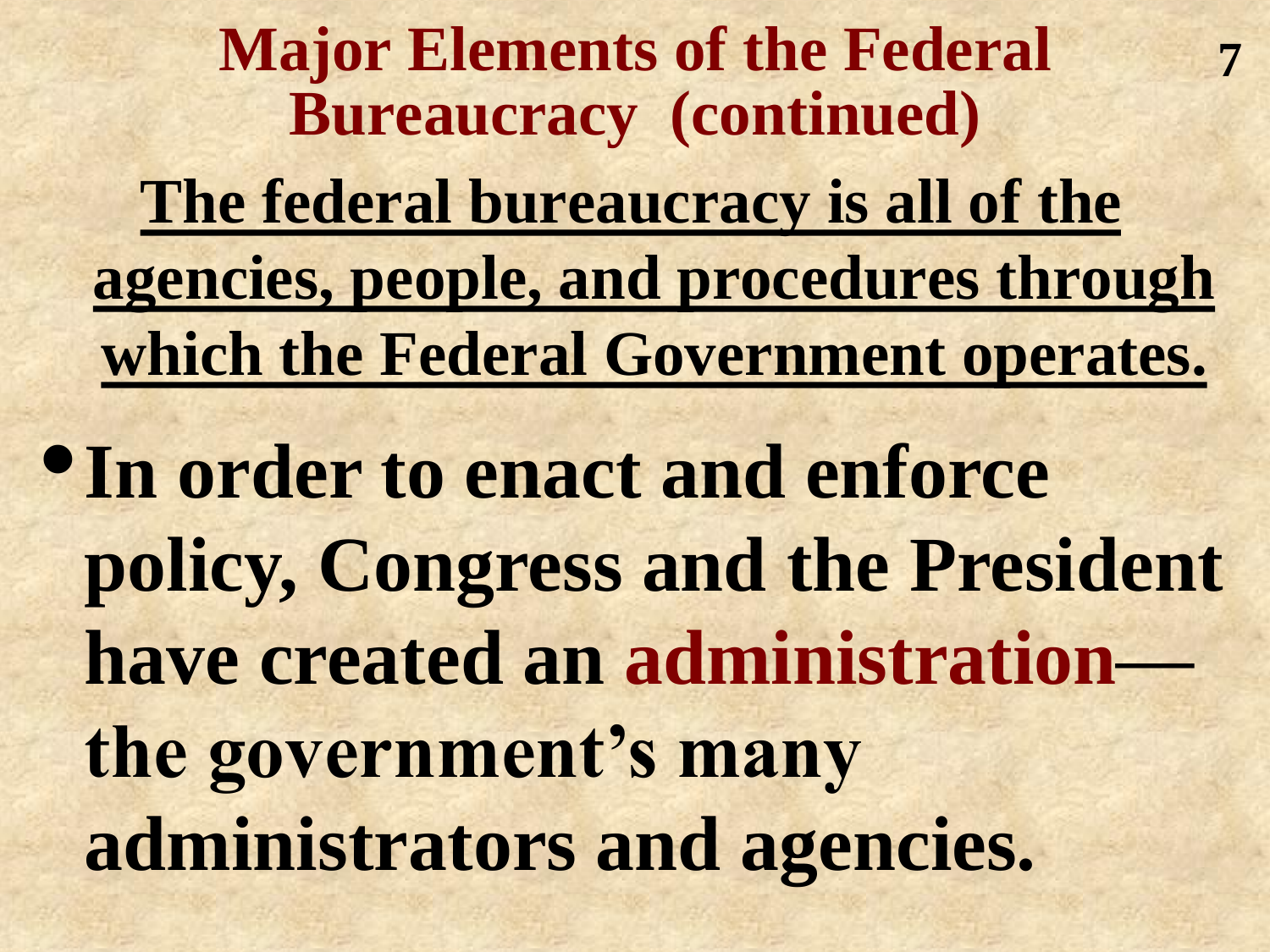**Major Elements of the Federal Bureaucracy (continued) The federal bureaucracy is all of the agencies, people, and procedures through which the Federal Government operates.** •**In order to enact and enforce policy, Congress and the President 7**

**have created an administration—**

**the government's many administrators and agencies.**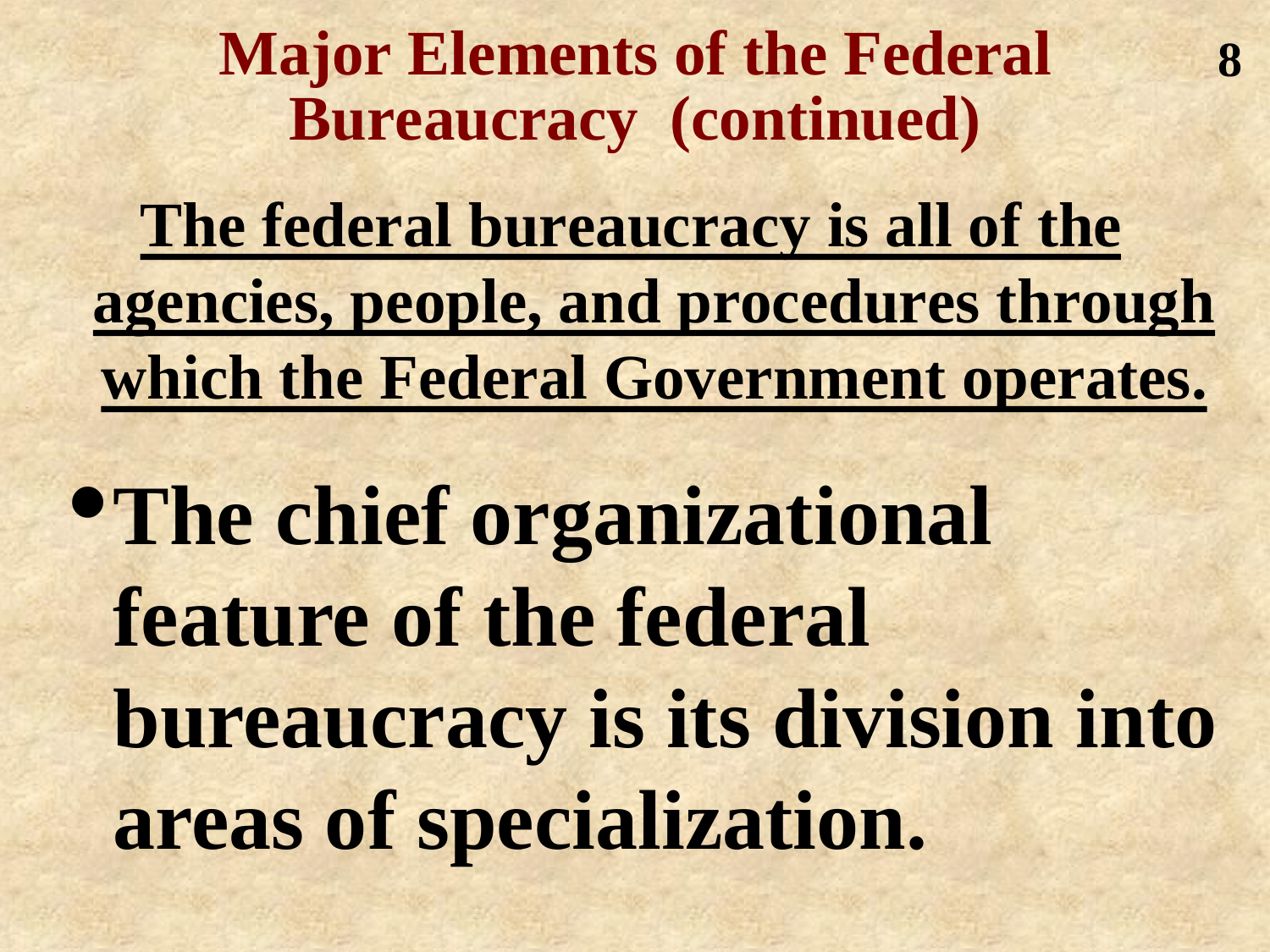#### **Major Elements of the Federal Bureaucracy (continued)**

**8**

**The federal bureaucracy is all of the agencies, people, and procedures through which the Federal Government operates.**

•**The chief organizational feature of the federal bureaucracy is its division into areas of specialization.**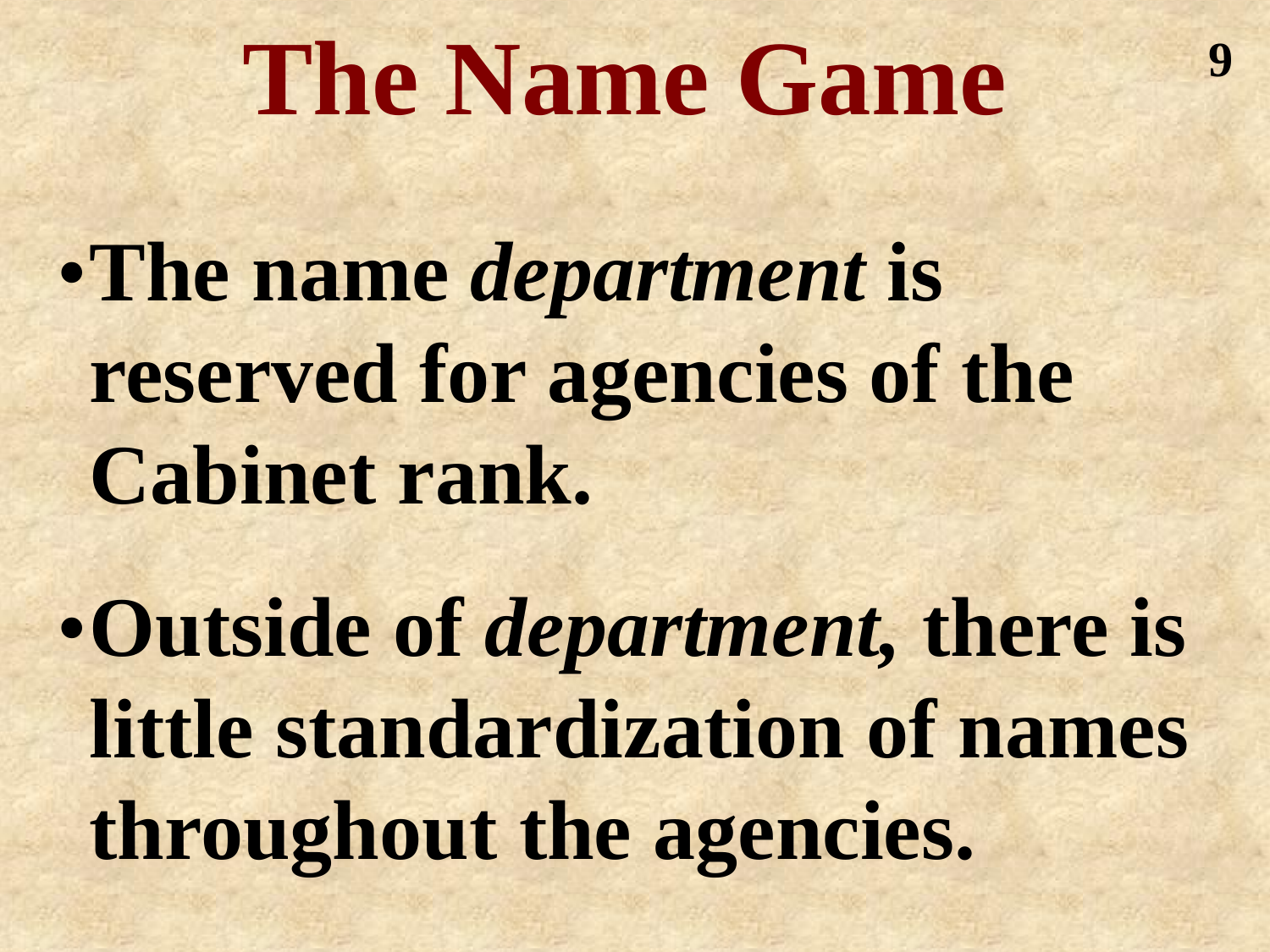## **The Name Game**

**9**

•**The name** *department* **is reserved for agencies of the Cabinet rank.** 

•**Outside of** *department,* **there is little standardization of names throughout the agencies.**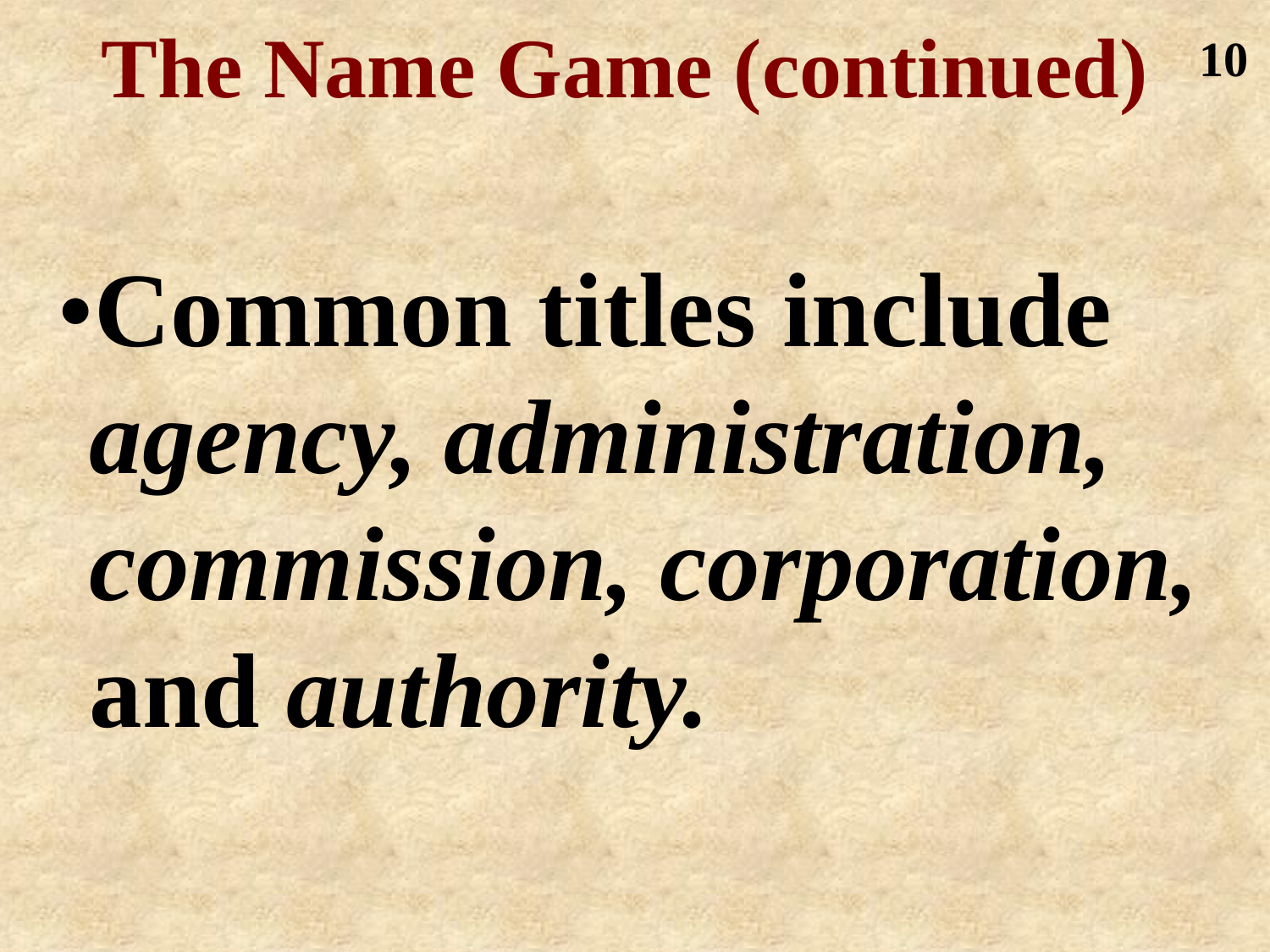#### **The Name Game (continued) 10**

•**Common titles include**  *agency, administration, commission, corporation,*  **and** *authority.*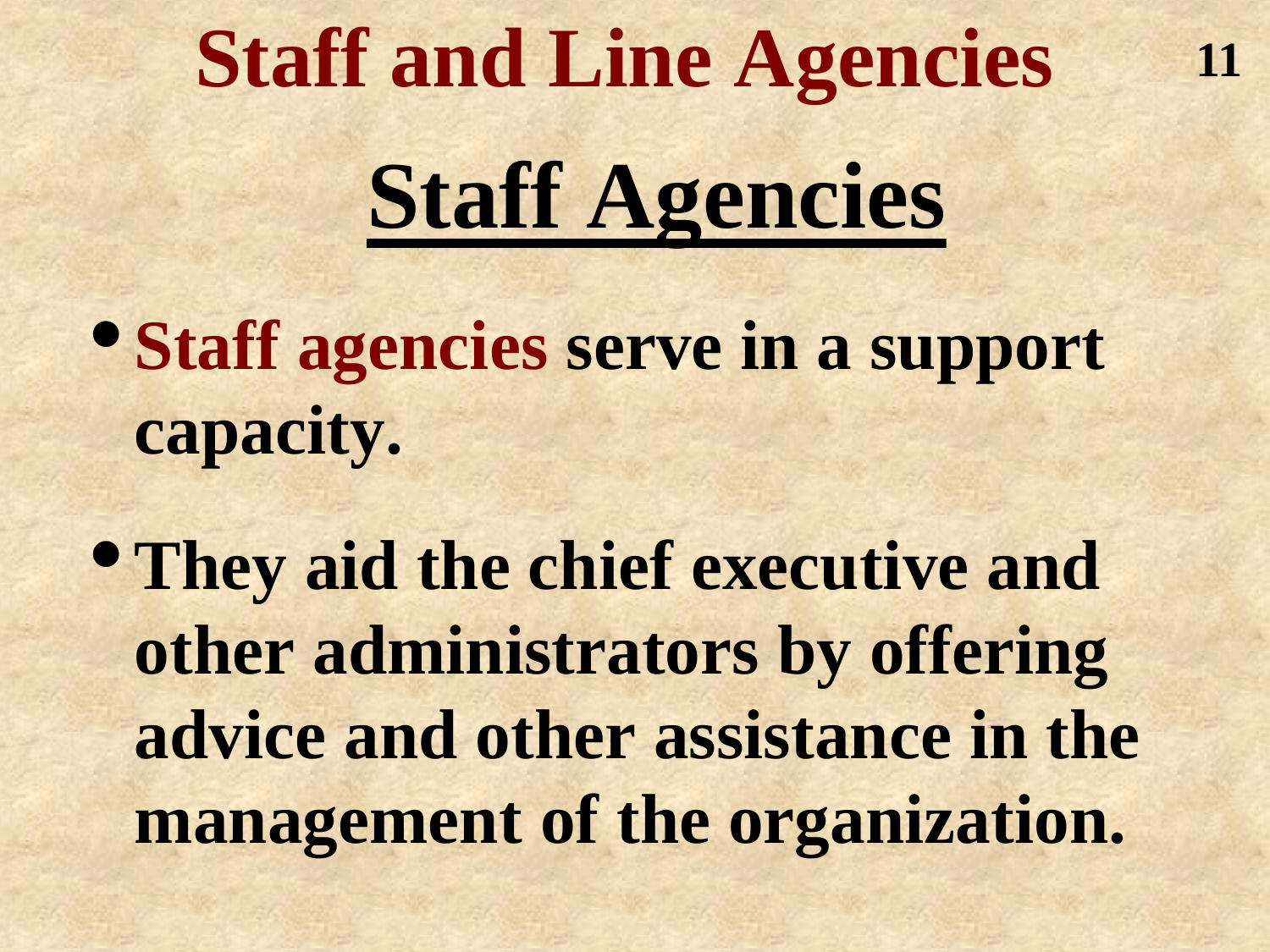# **Staff and Line Agencies Staff Agencies**

**11**

• **Staff agencies serve in a support capacity.** 

•**They aid the chief executive and other administrators by offering advice and other assistance in the management of the organization.**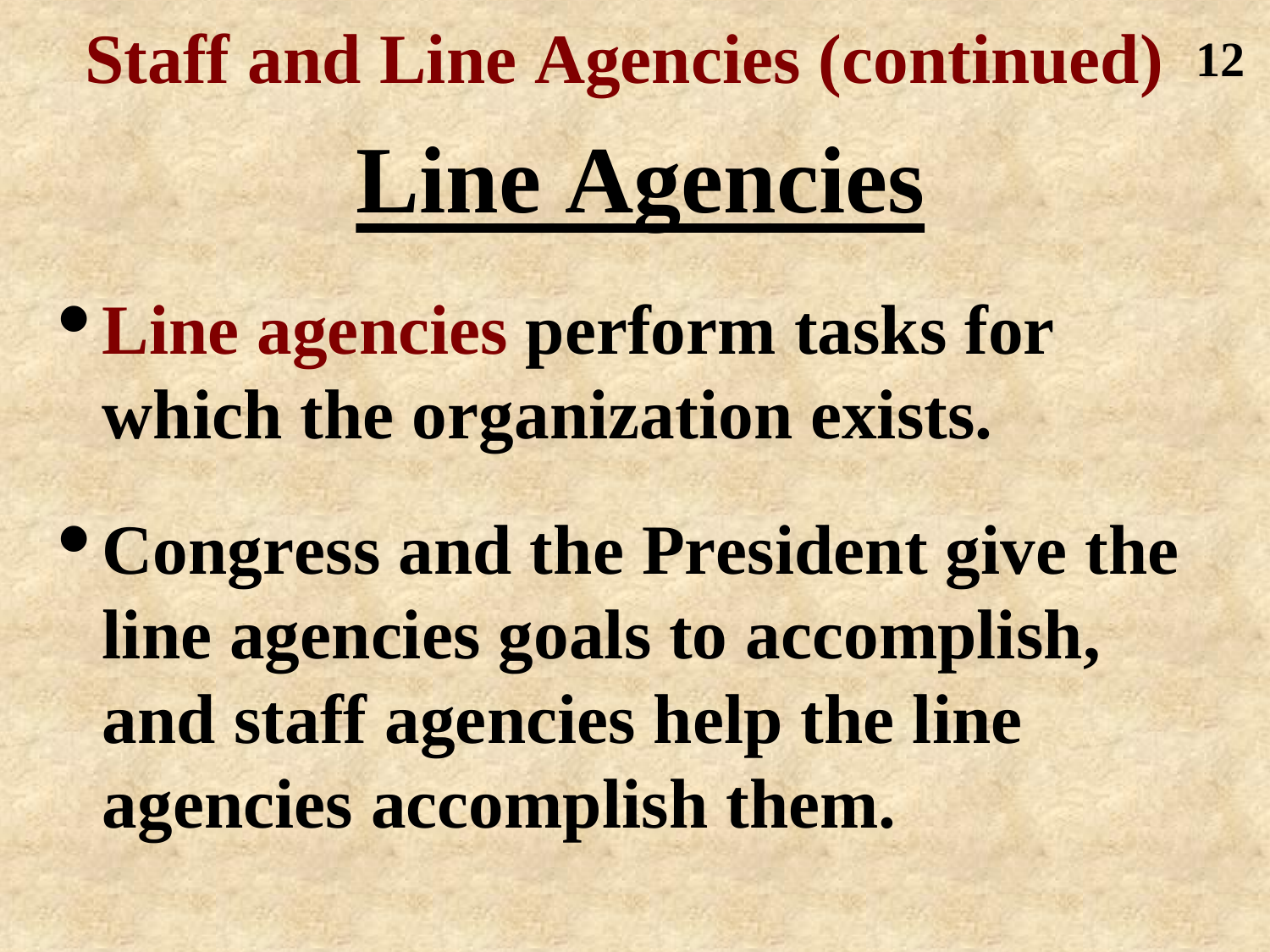# **Staff and Line Agencies (continued) 12Line Agencies**

•**Line agencies perform tasks for which the organization exists.**

•**Congress and the President give the line agencies goals to accomplish, and staff agencies help the line agencies accomplish them.**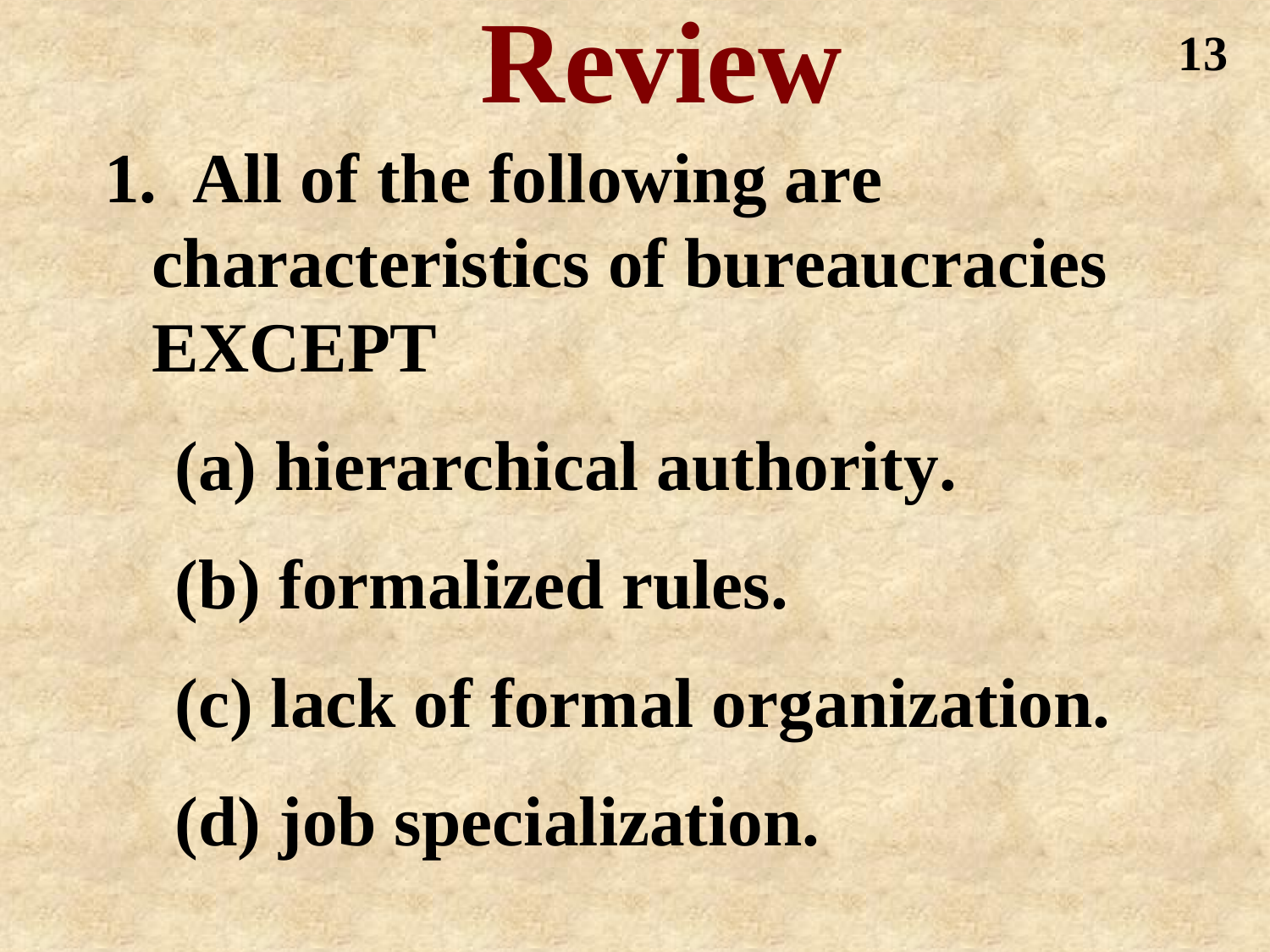# **Review**

**1. All of the following are characteristics of bureaucracies EXCEPT**

**(a) hierarchical authority. (b) formalized rules. (c) lack of formal organization. (d) job specialization.**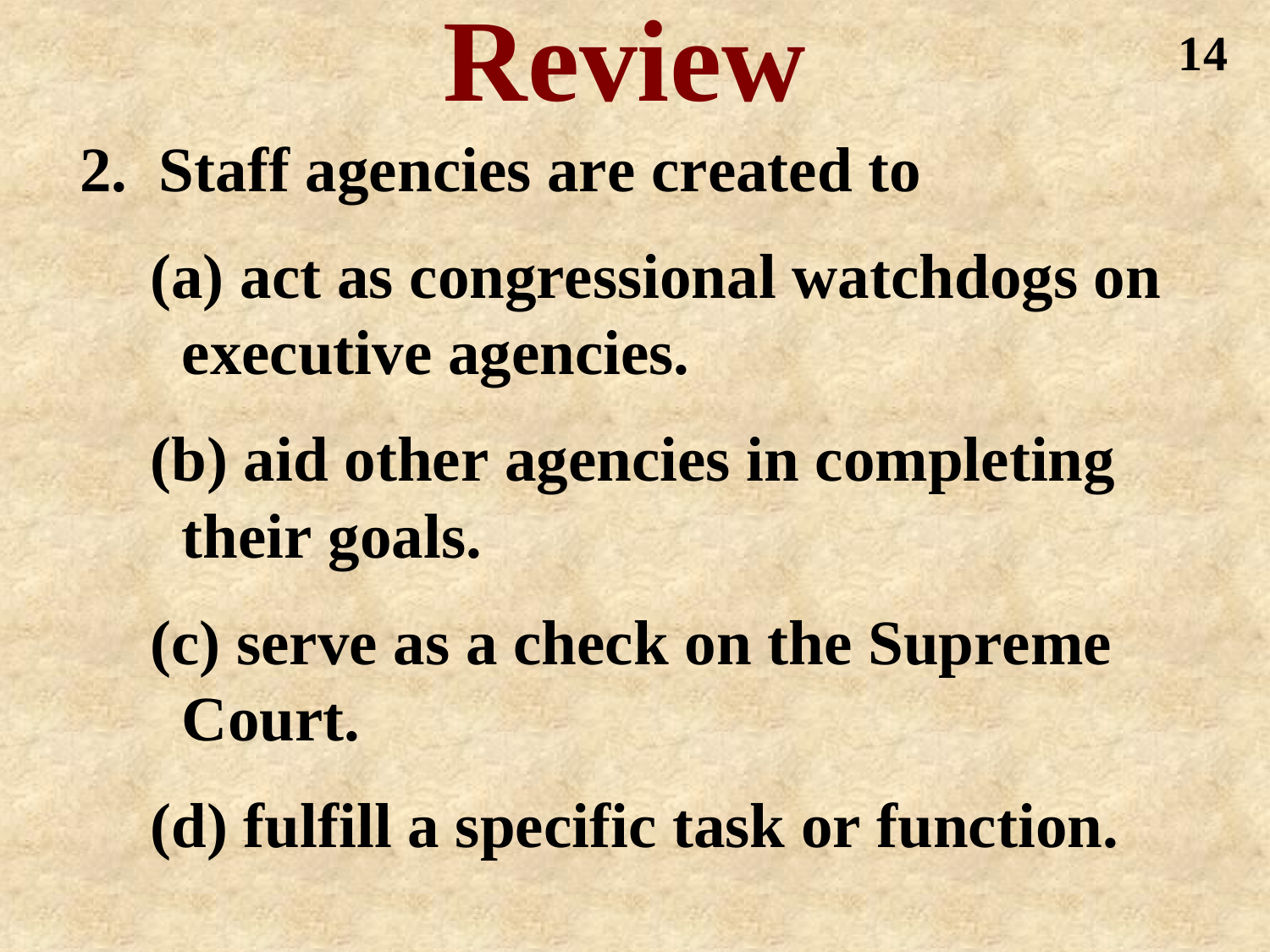# **Review**

**2. Staff agencies are created to** 

**(a) act as congressional watchdogs on executive agencies.**

**(b) aid other agencies in completing their goals.**

**(c) serve as a check on the Supreme Court.**

**(d) fulfill a specific task or function.**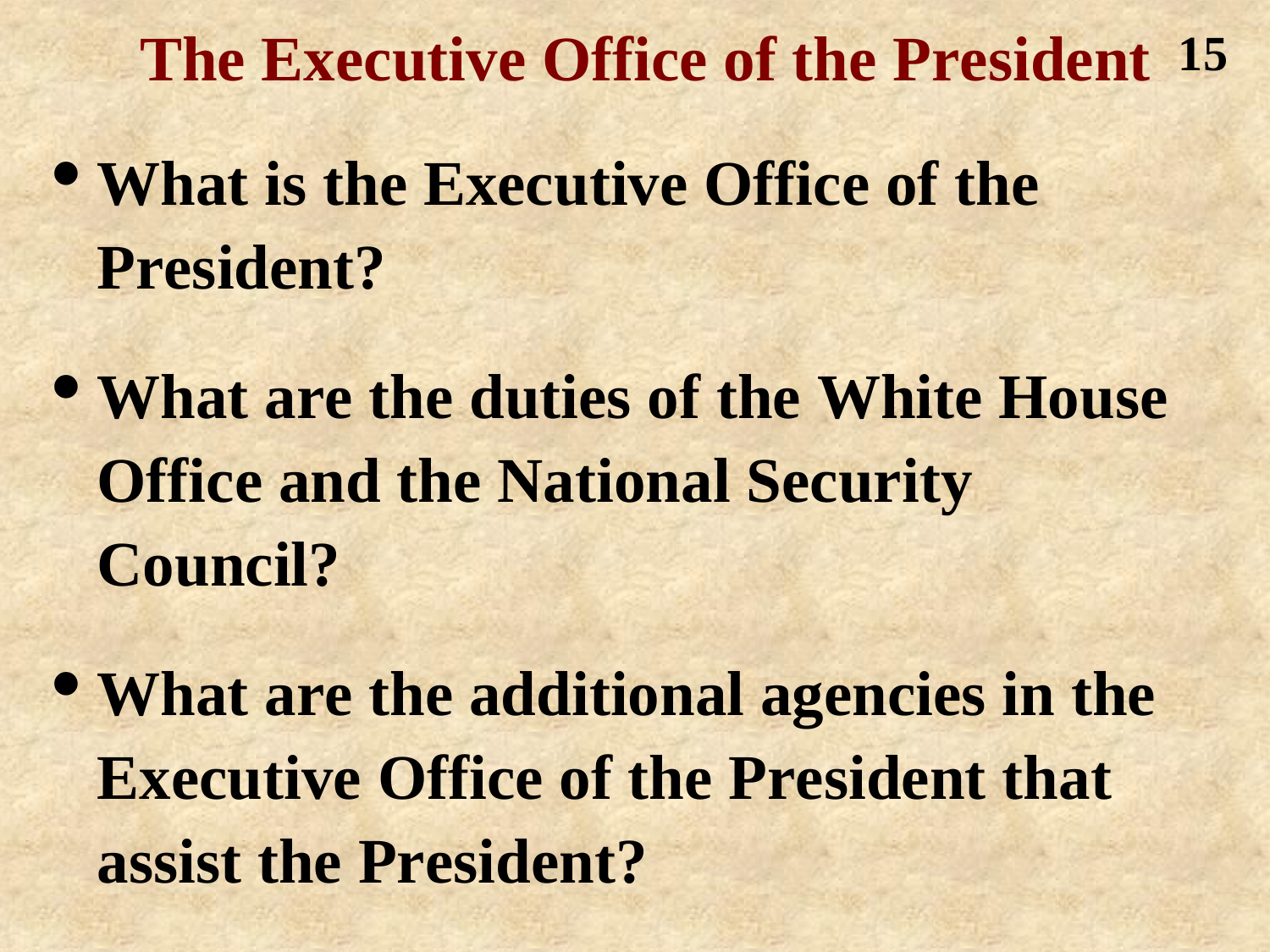**The Executive Office of the President 15**

- **What is the Executive Office of the President?**
- **What are the duties of the White House Office and the National Security Council?**
- **What are the additional agencies in the Executive Office of the President that assist the President?**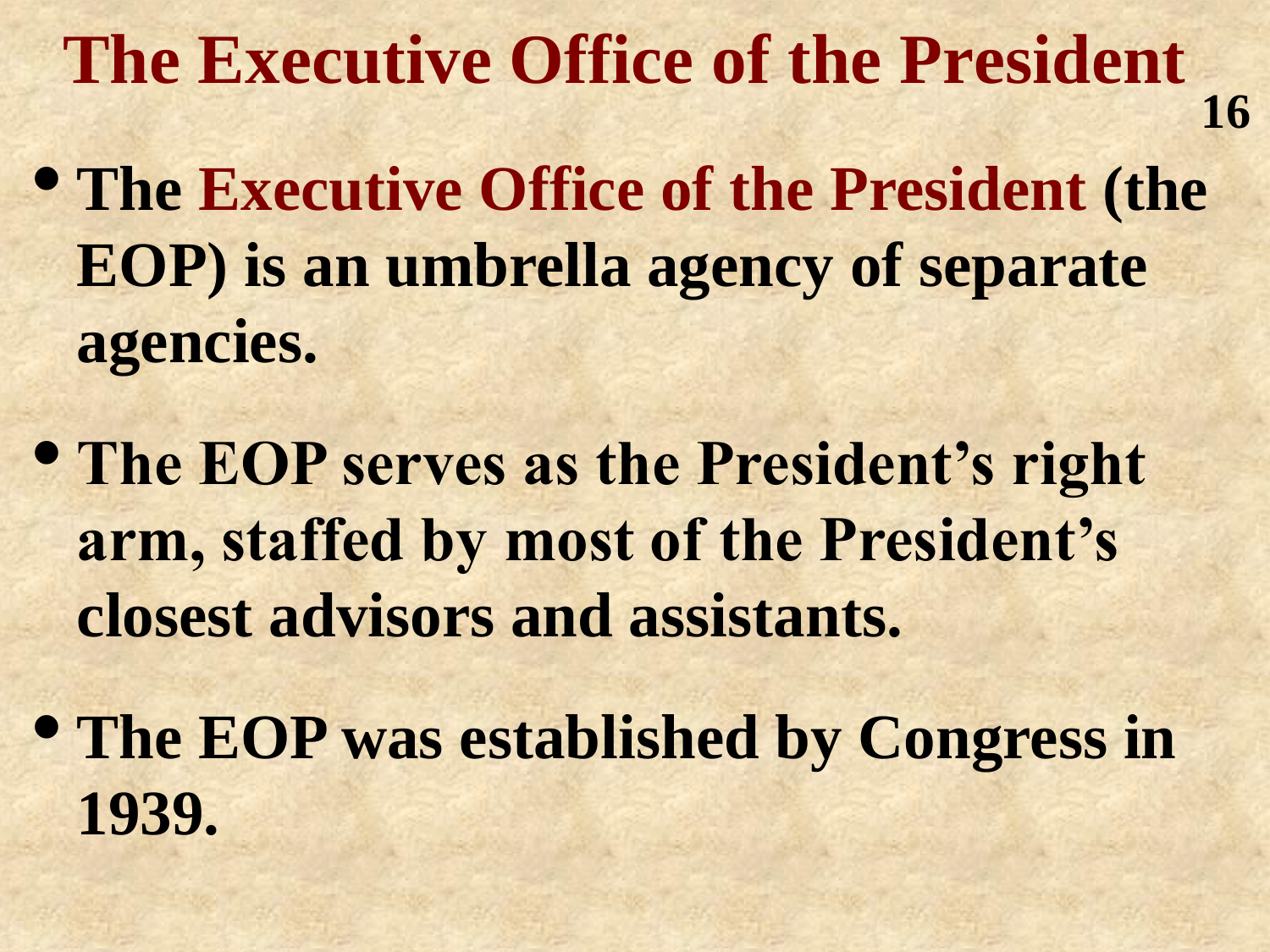**The Executive Office of the President 16**

- **The Executive Office of the President (the EOP) is an umbrella agency of separate agencies.**
- **The EOP serves as the President's right arm, staffed by most of the President's closest advisors and assistants.**
- **The EOP was established by Congress in 1939.**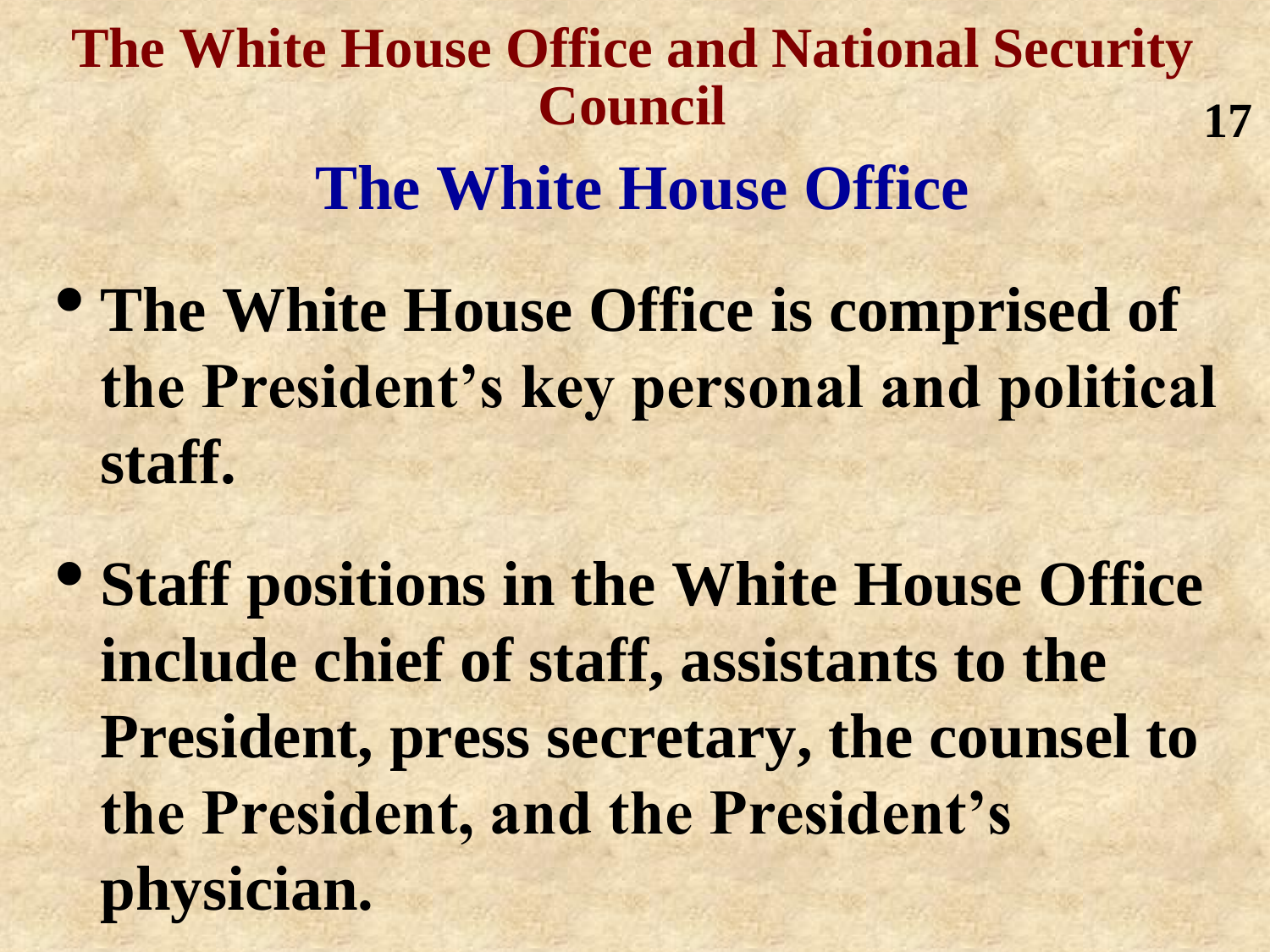#### **The White House Office and National Security Council The White House Office 17**

- **The White House Office is comprised of the President's key personal and political staff.**
- **Staff positions in the White House Office include chief of staff, assistants to the President, press secretary, the counsel to the President, and the President's physician.**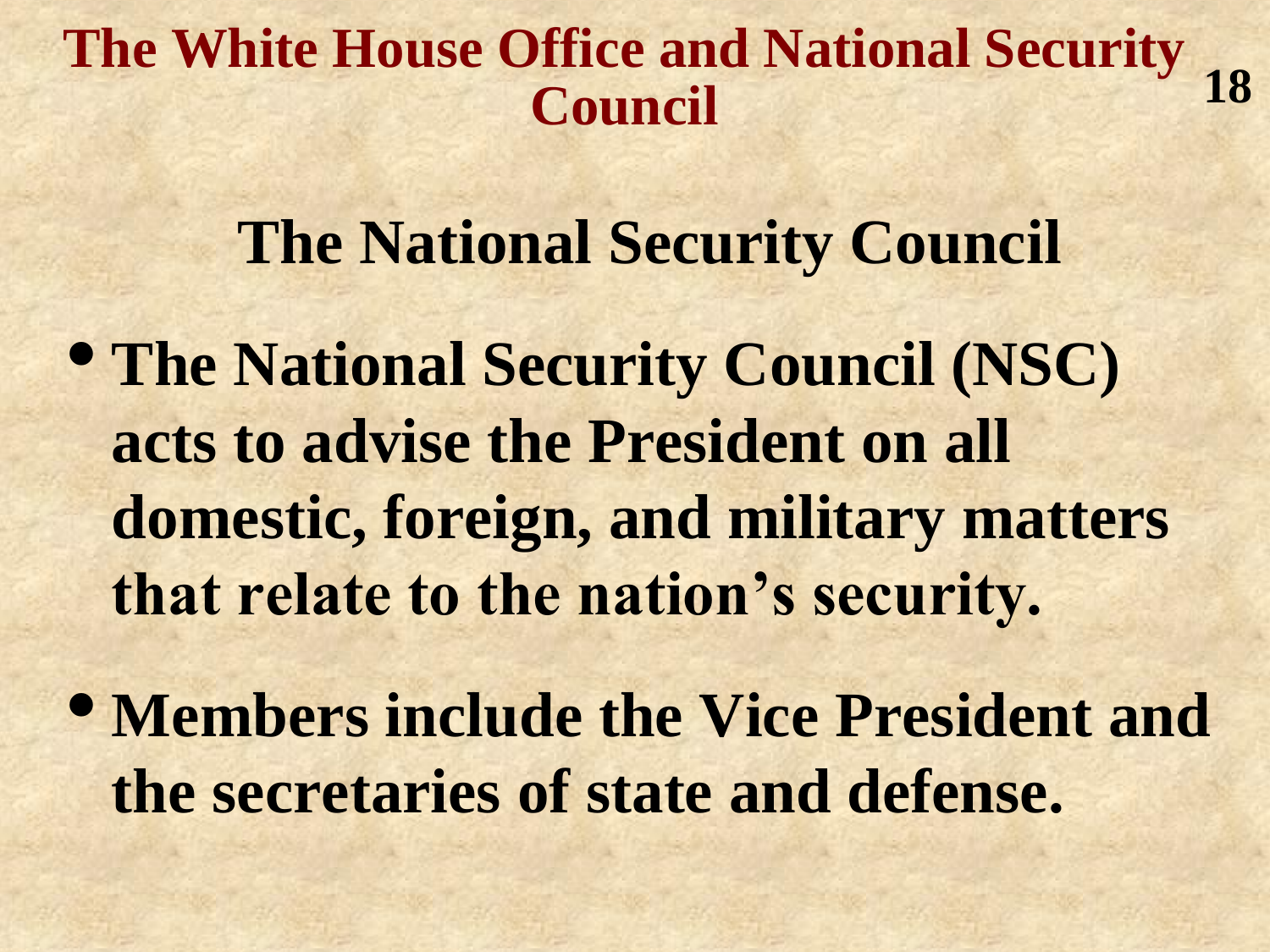#### **The White House Office and National Security Council 18**

#### **The National Security Council**

• **The National Security Council (NSC) acts to advise the President on all domestic, foreign, and military matters that relate to the nation's security.**

• **Members include the Vice President and the secretaries of state and defense.**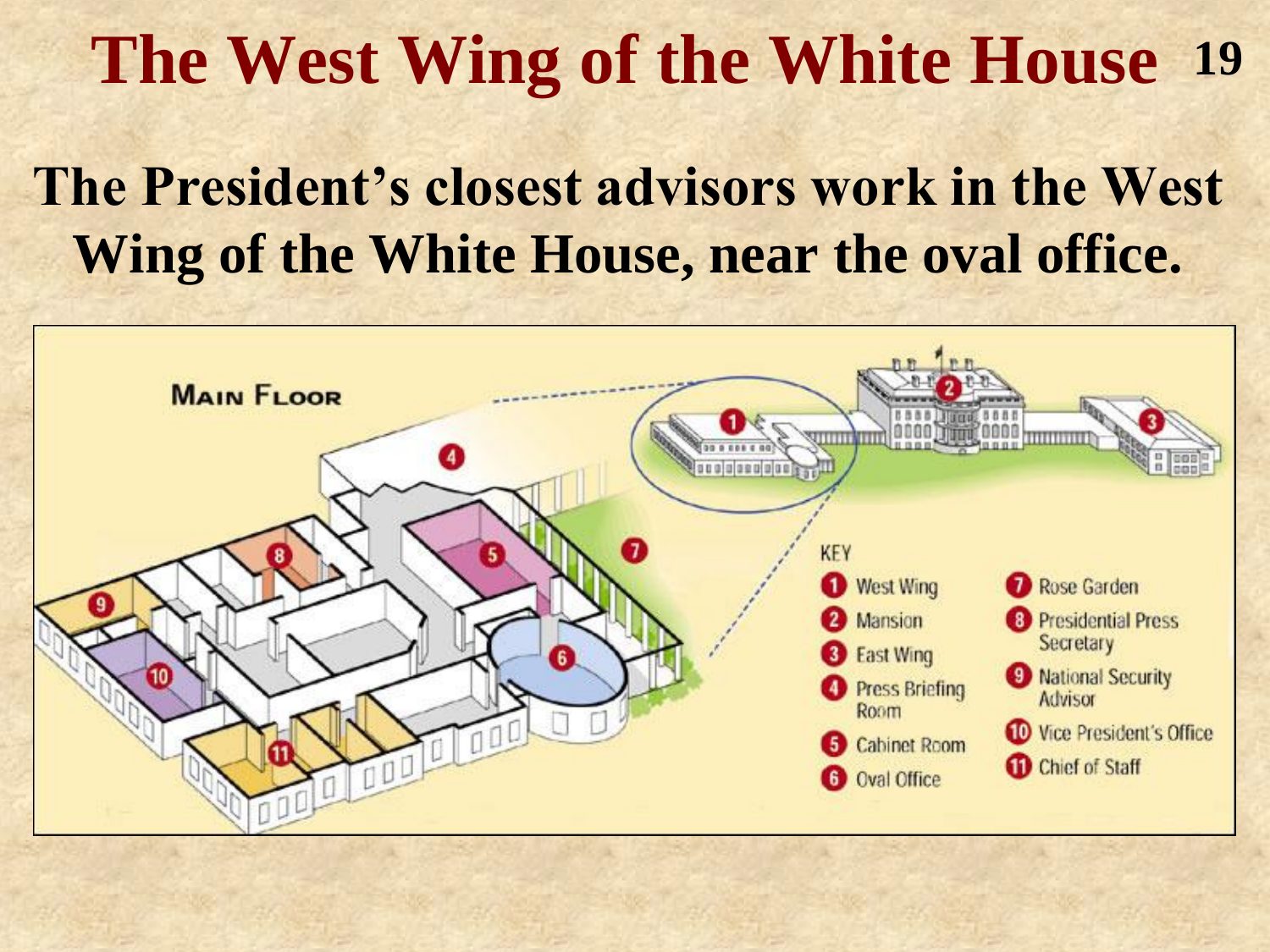#### **The West Wing of the White House 19**

#### **The President's closest advisors work in the West Wing of the White House, near the oval office.**

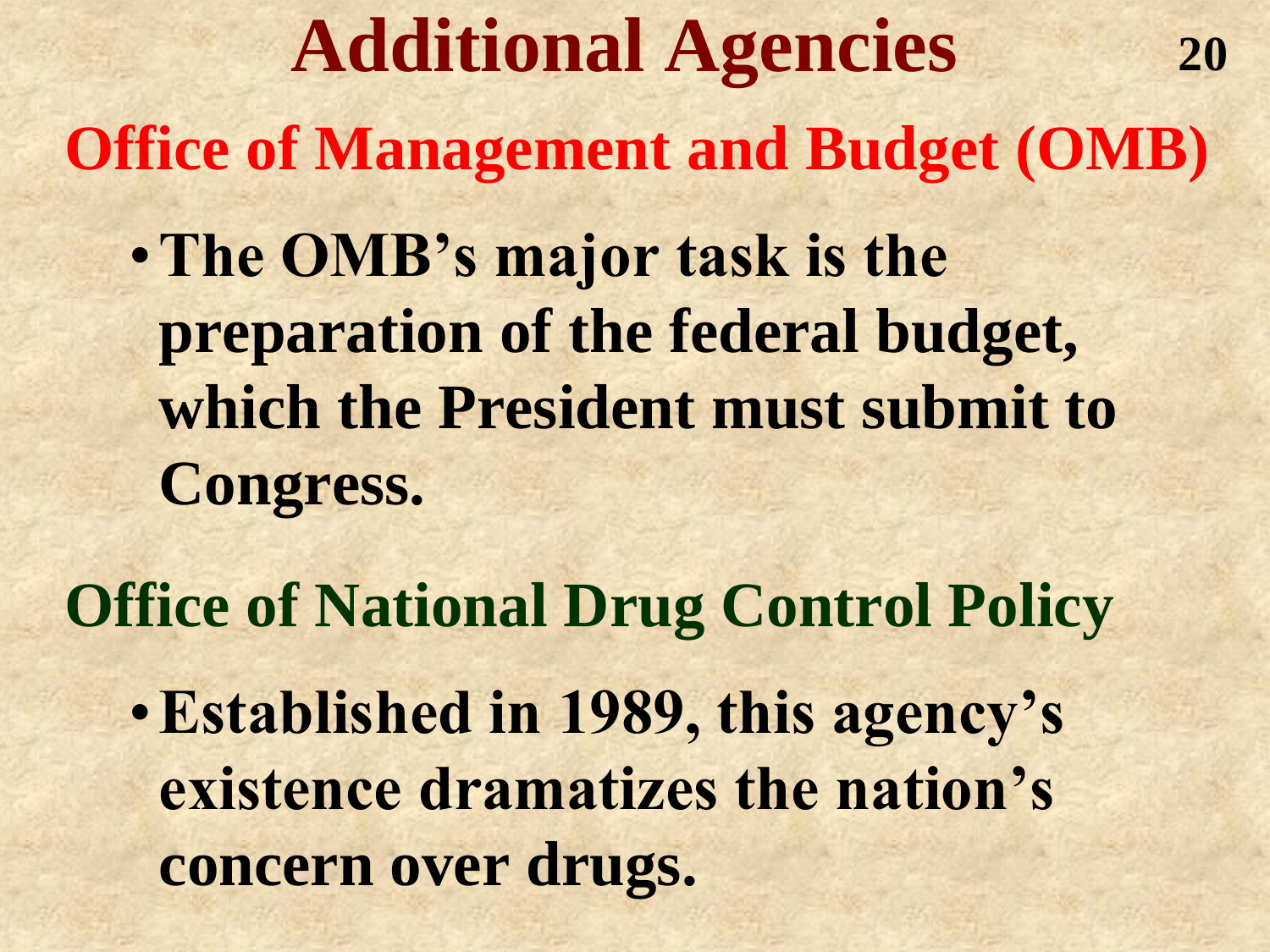**Additional Agencies Office of Management and Budget (OMB)** •**The OMB's major task is the preparation of the federal budget, which the President must submit to Congress. 20**

**Office of National Drug Control Policy**

•**Established in 1989, this agency's existence dramatizes the nation's concern over drugs.**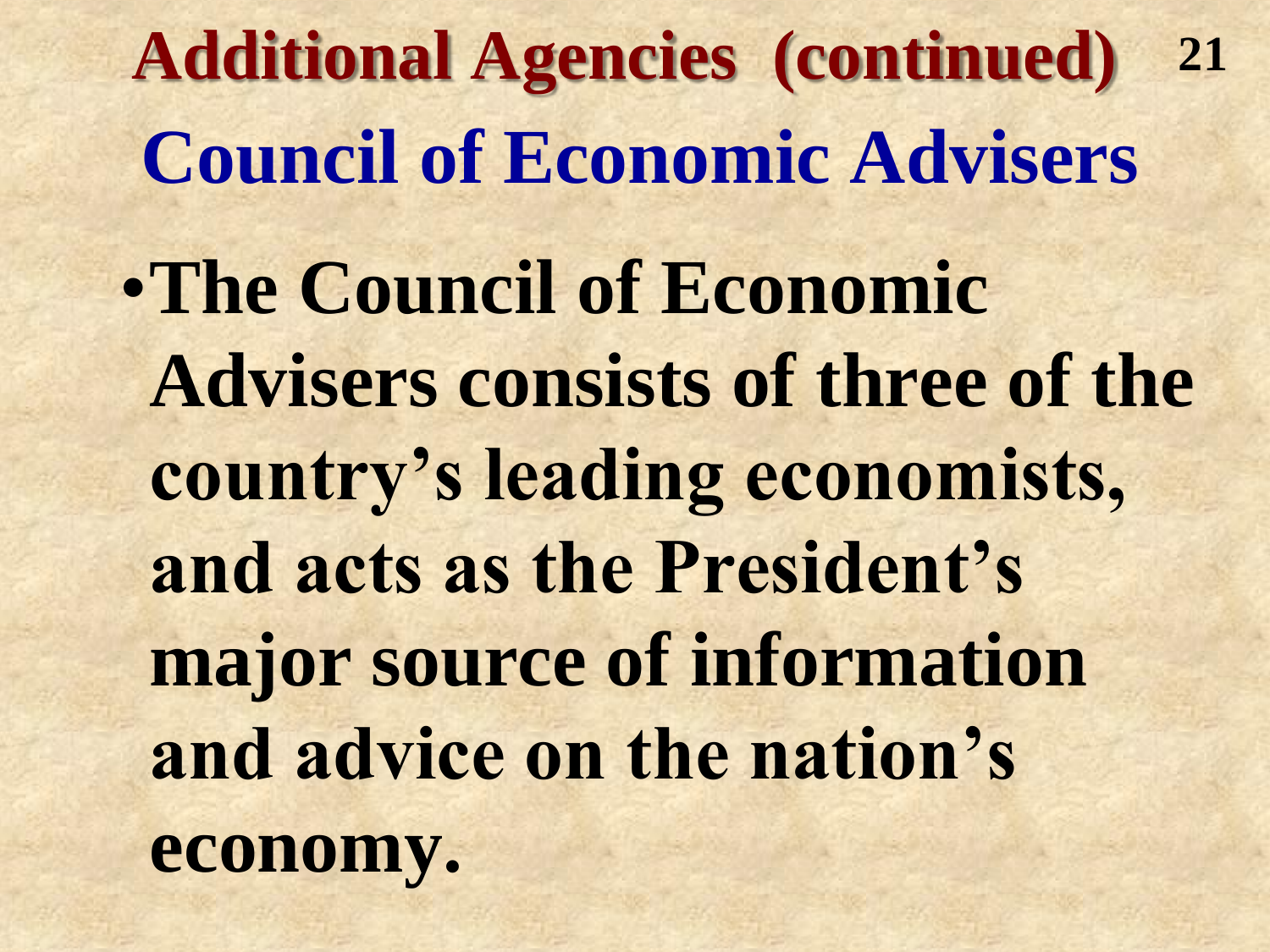**Additional Agencies (continued) Council of Economic Advisers** •**The Council of Economic Advisers consists of three of the country's leading economists, and acts as the President's major source of information and advice on the nation's economy. 21**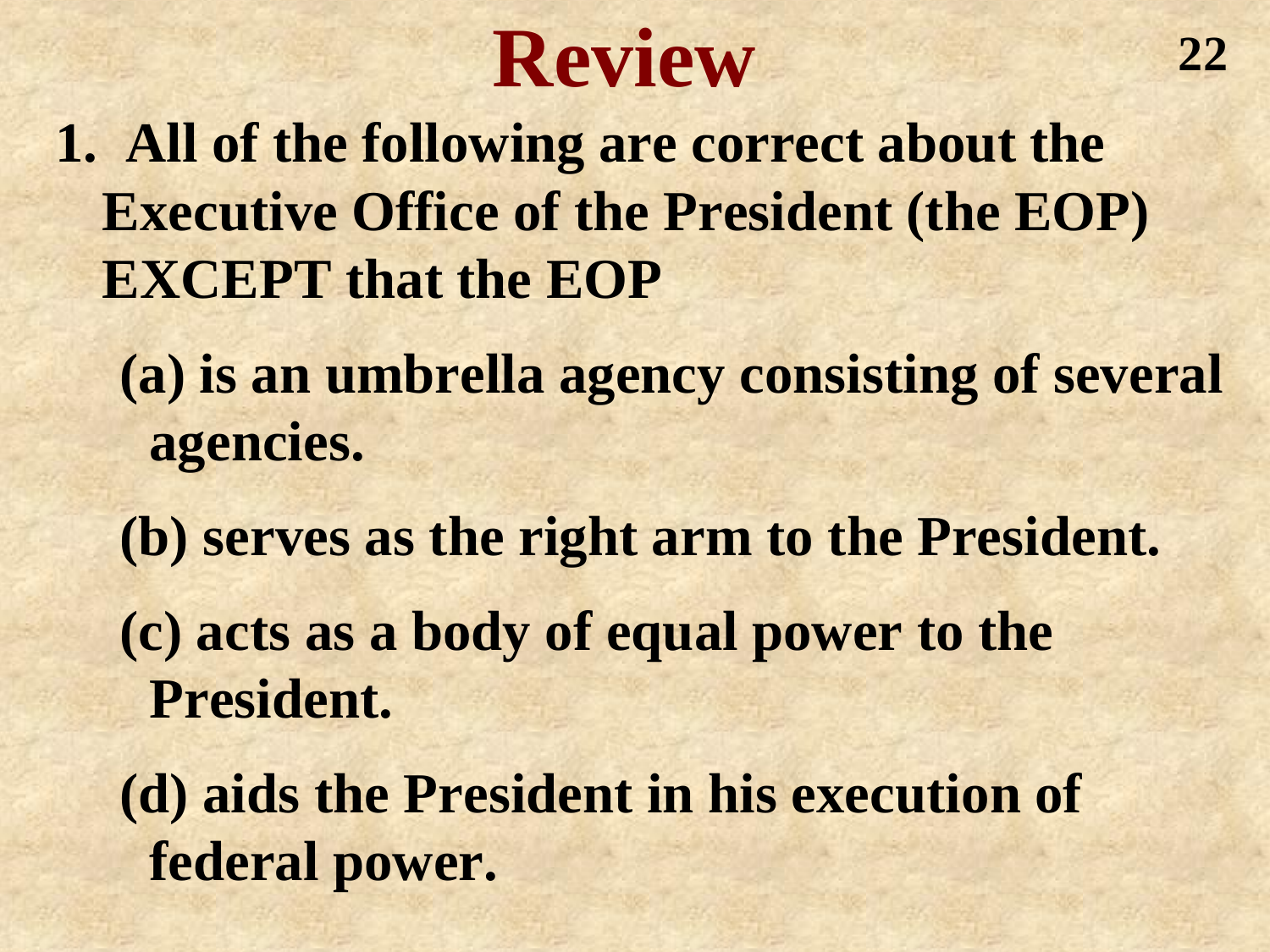

**1. All of the following are correct about the Executive Office of the President (the EOP) EXCEPT that the EOP**

- **(a) is an umbrella agency consisting of several agencies.**
- **(b) serves as the right arm to the President. (c) acts as a body of equal power to the President.**
- **(d) aids the President in his execution of federal power.**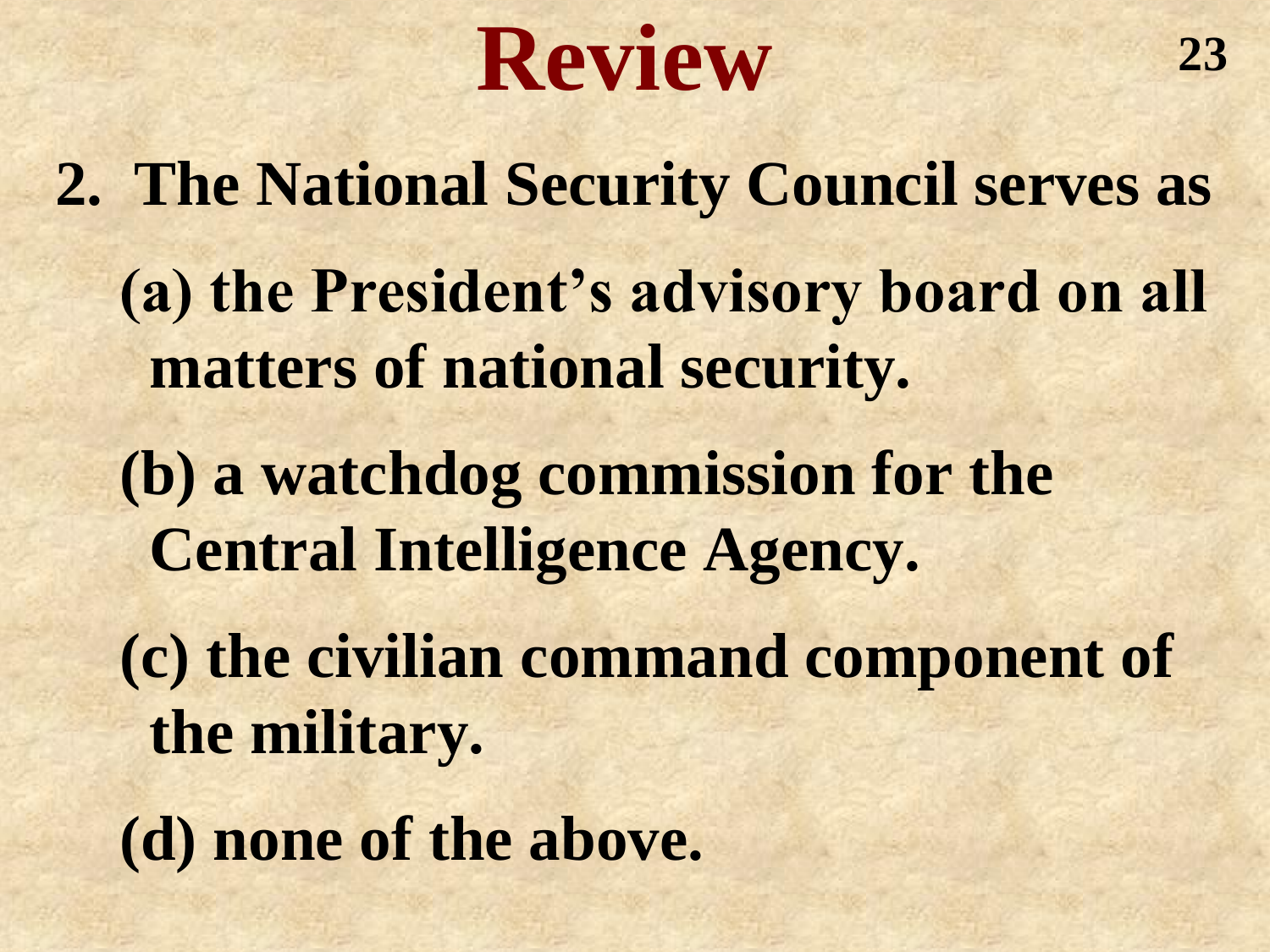## **Review**

**2. The National Security Council serves as (a) the President's advisory board on all matters of national security. (b) a watchdog commission for the Central Intelligence Agency. (c) the civilian command component of the military. (d) none of the above.**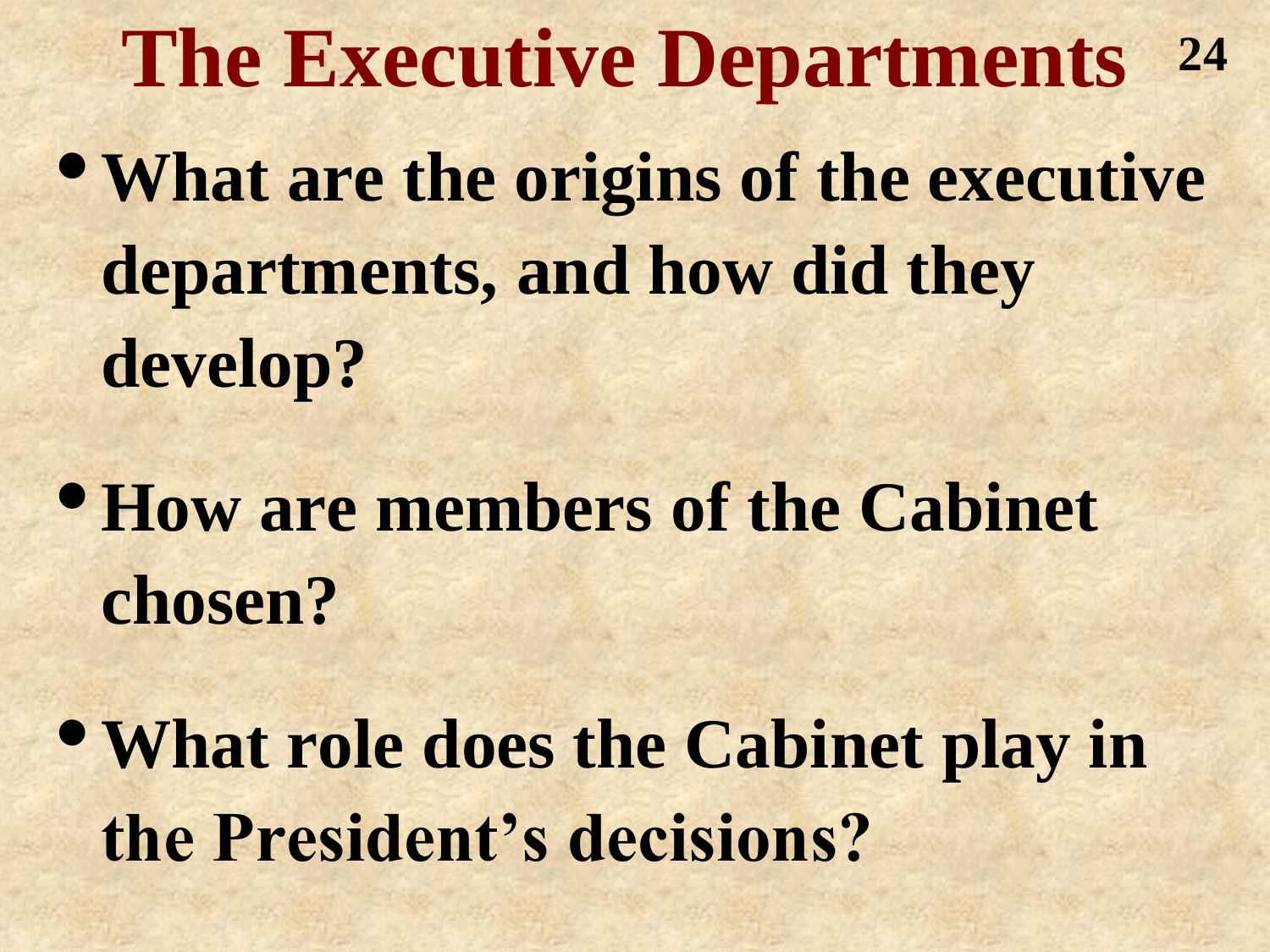**The Executive Departments** •**What are the origins of the executive departments, and how did they develop? 24**

•**How are members of the Cabinet chosen?**

•**What role does the Cabinet play in the President's decisions?**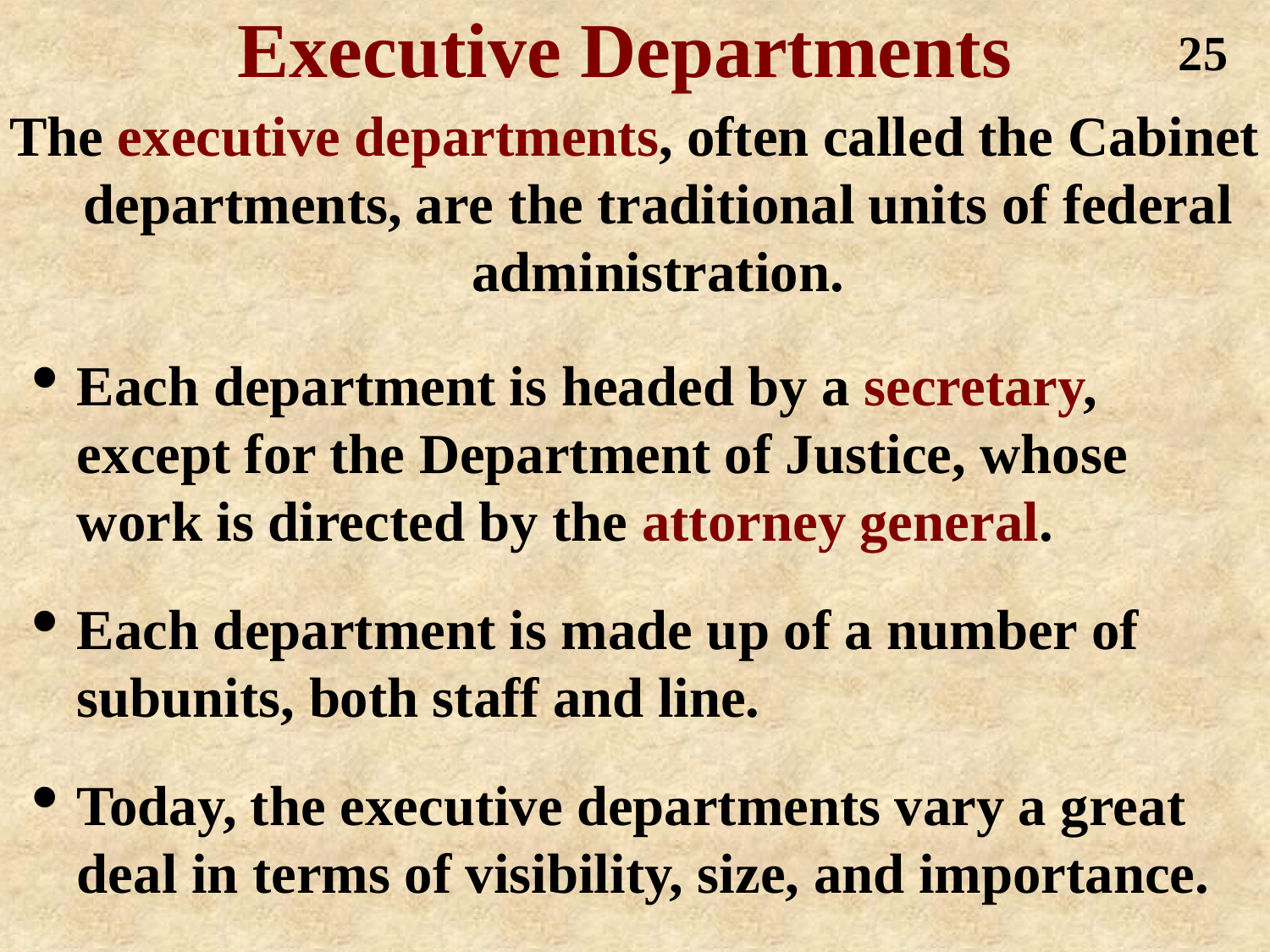**Executive Departments The executive departments, often called the Cabinet departments, are the traditional units of federal administration. 25**

- **Each department is headed by a secretary, except for the Department of Justice, whose work is directed by the attorney general.**
- **Each department is made up of a number of subunits, both staff and line.**
- **Today, the executive departments vary a great deal in terms of visibility, size, and importance.**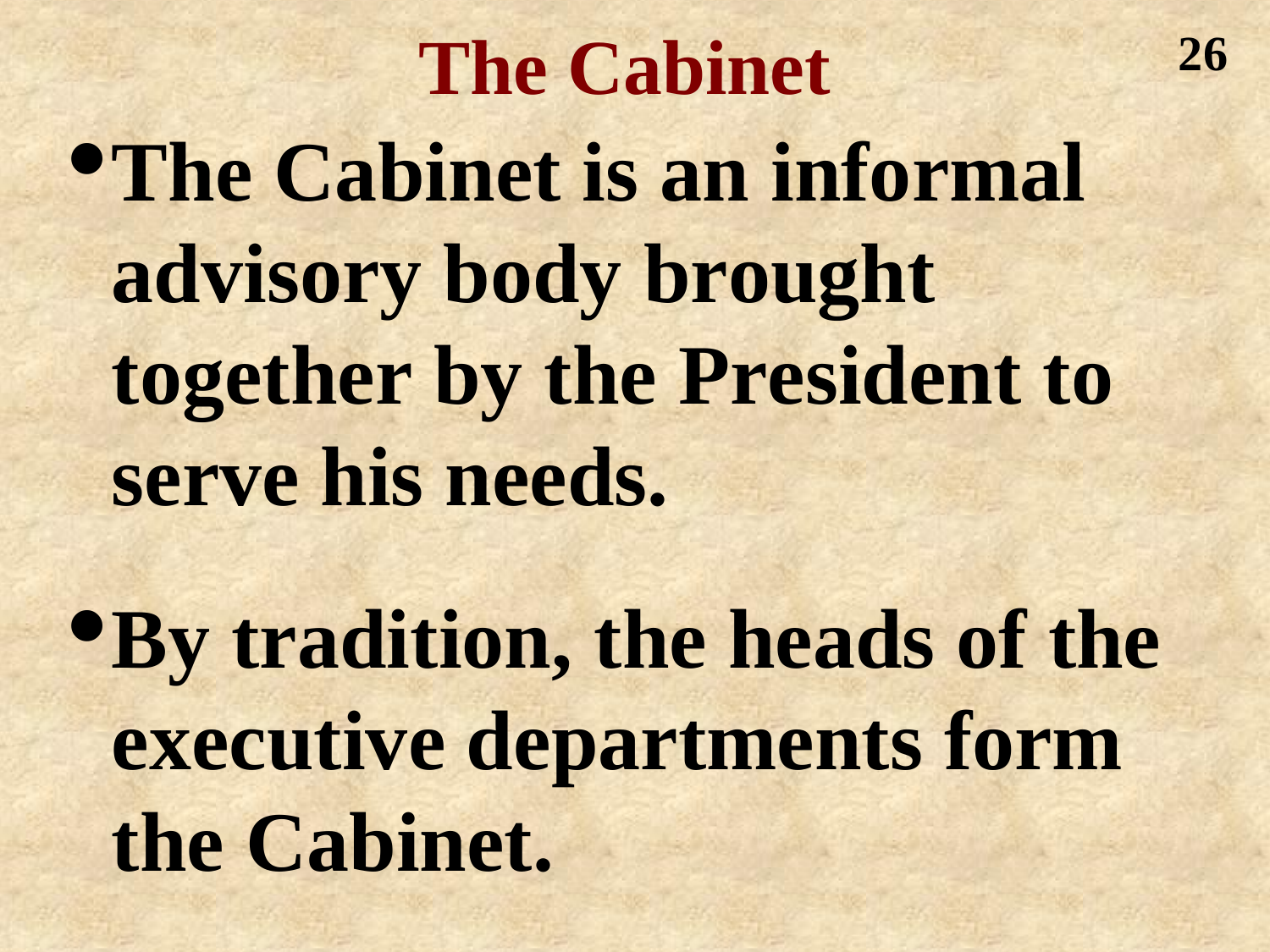**The Cabinet** •**The Cabinet is an informal advisory body brought together by the President to serve his needs.**

**26**

•**By tradition, the heads of the executive departments form the Cabinet.**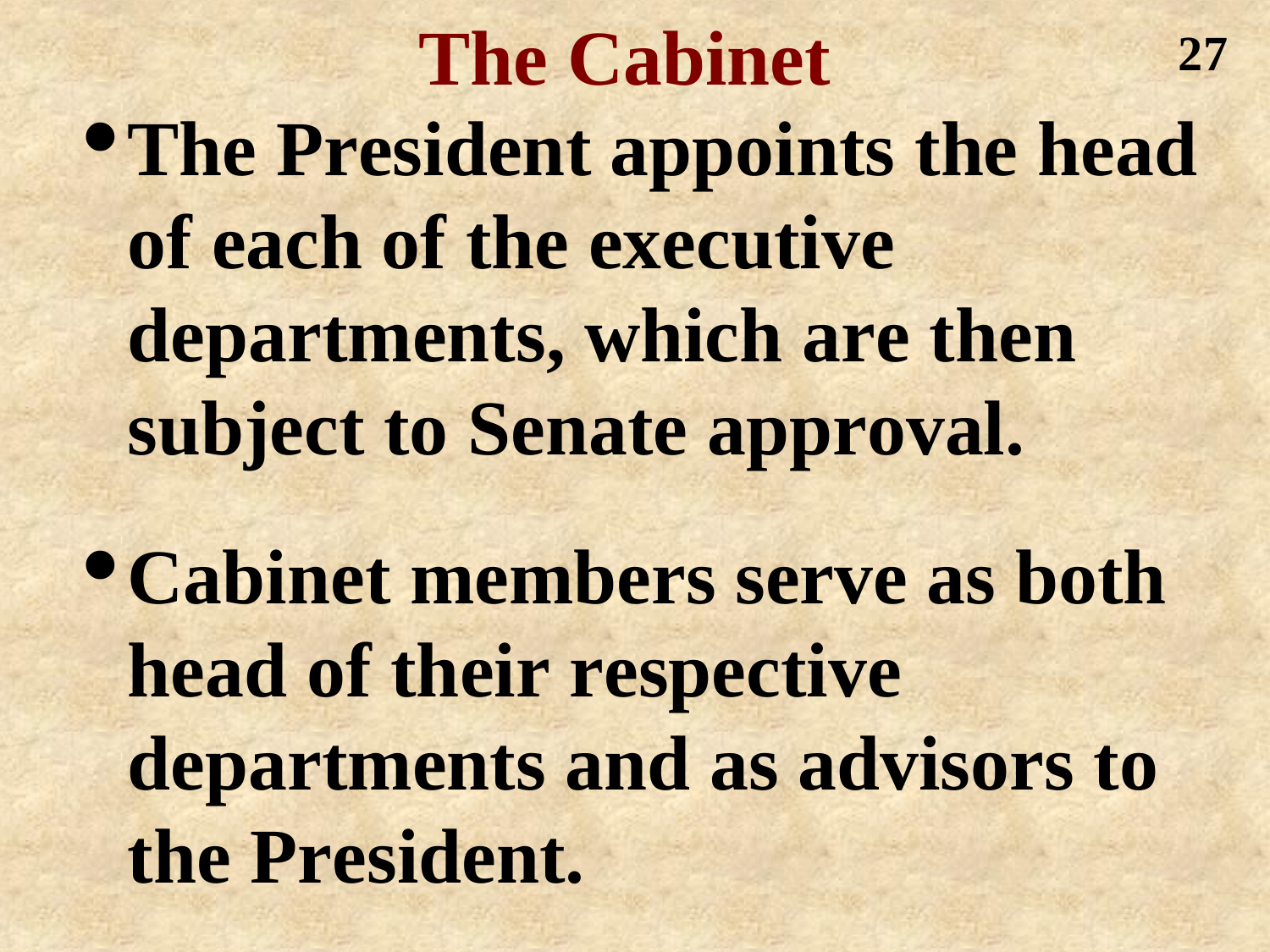**The Cabinet** •**The President appoints the head of each of the executive departments, which are then subject to Senate approval. 27**

•**Cabinet members serve as both head of their respective departments and as advisors to the President.**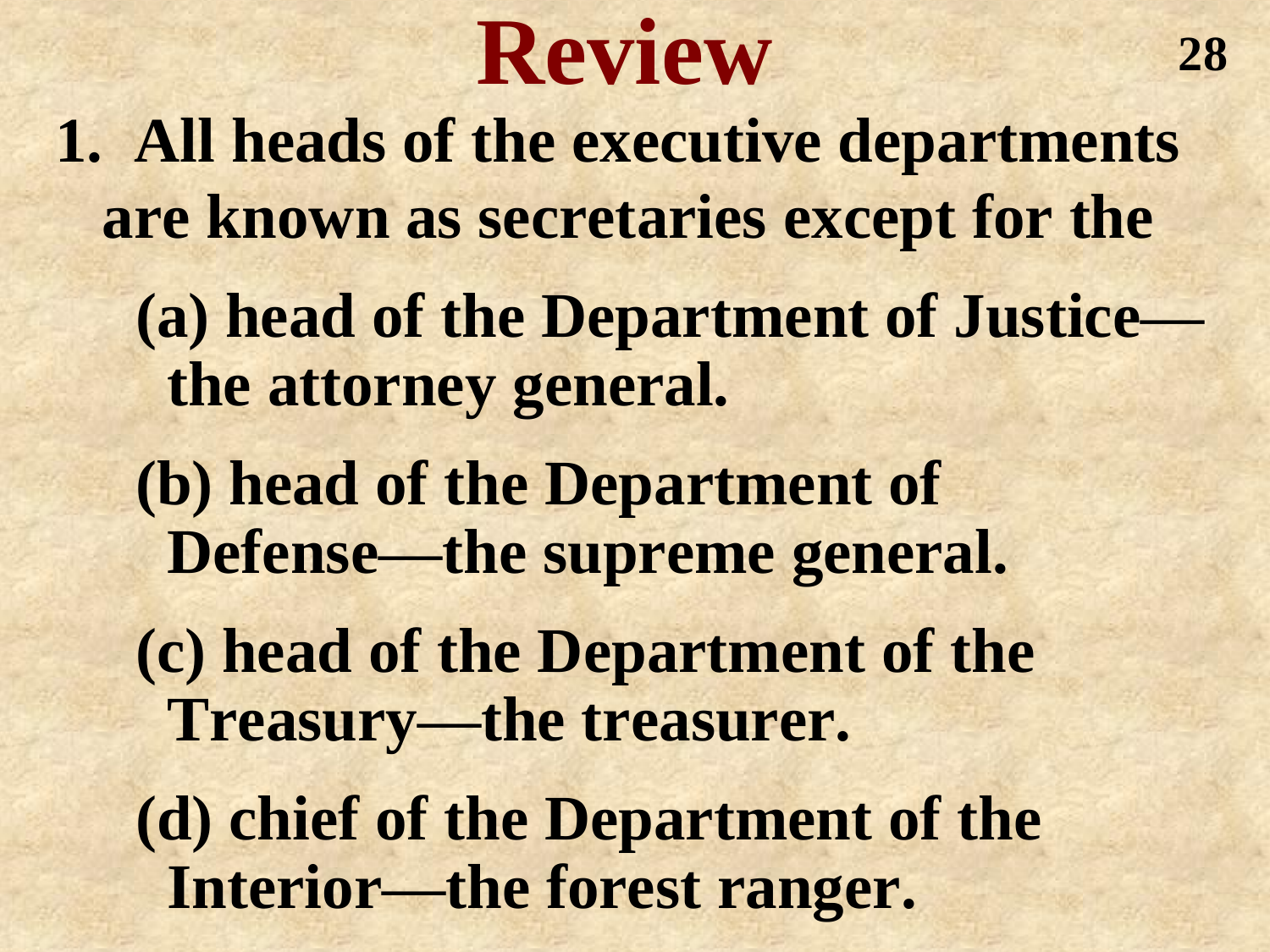## **Review**

**1. All heads of the executive departments are known as secretaries except for the**

**(a) head of the Department of Justice the attorney general.**

**(b) head of the Department of Defense—the supreme general.**

**(c) head of the Department of the Treasury—the treasurer.**

**(d) chief of the Department of the Interior—the forest ranger.**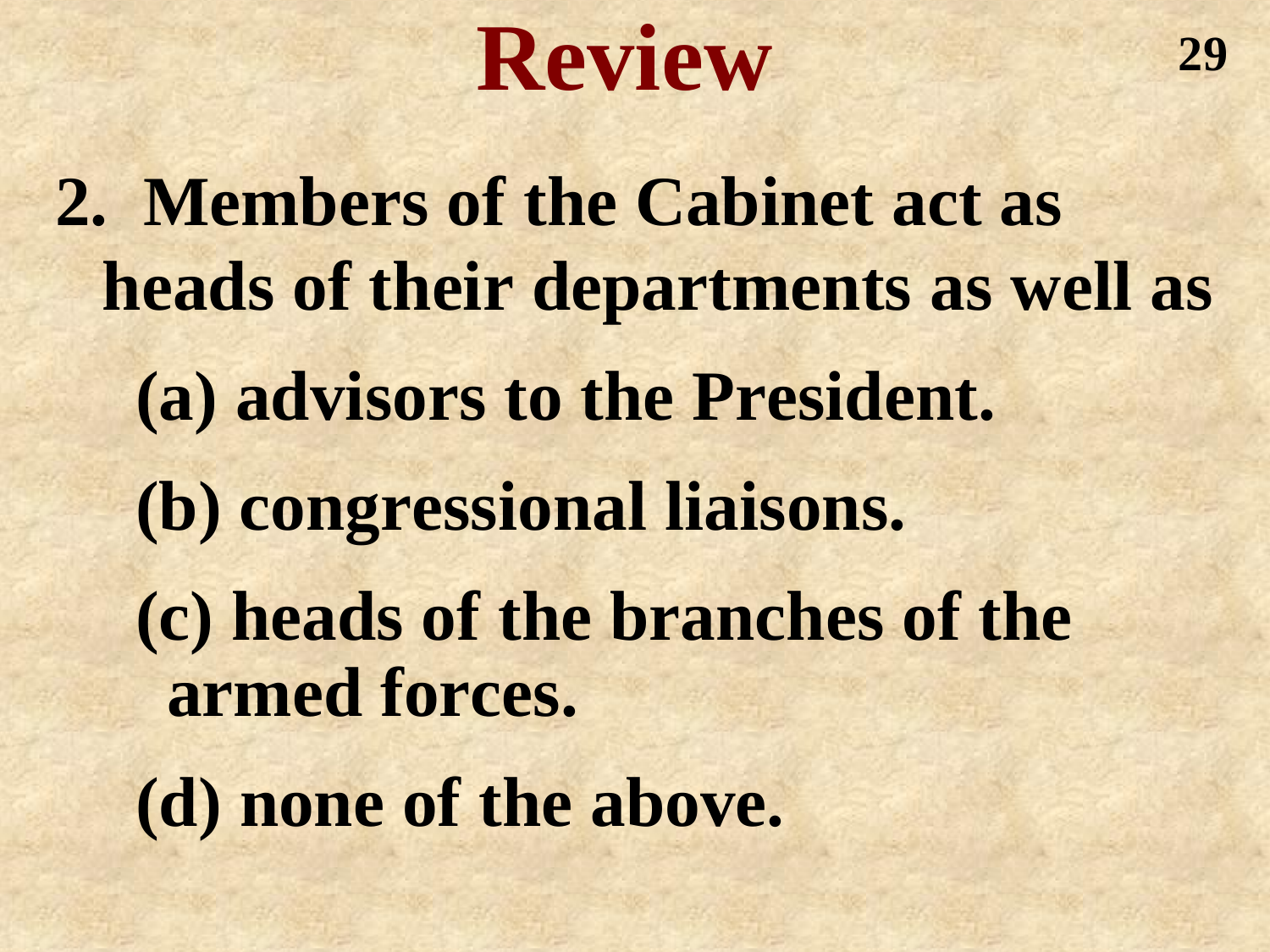## **Review**

**2. Members of the Cabinet act as heads of their departments as well as (a) advisors to the President. (b) congressional liaisons. (c) heads of the branches of the armed forces. (d) none of the above.**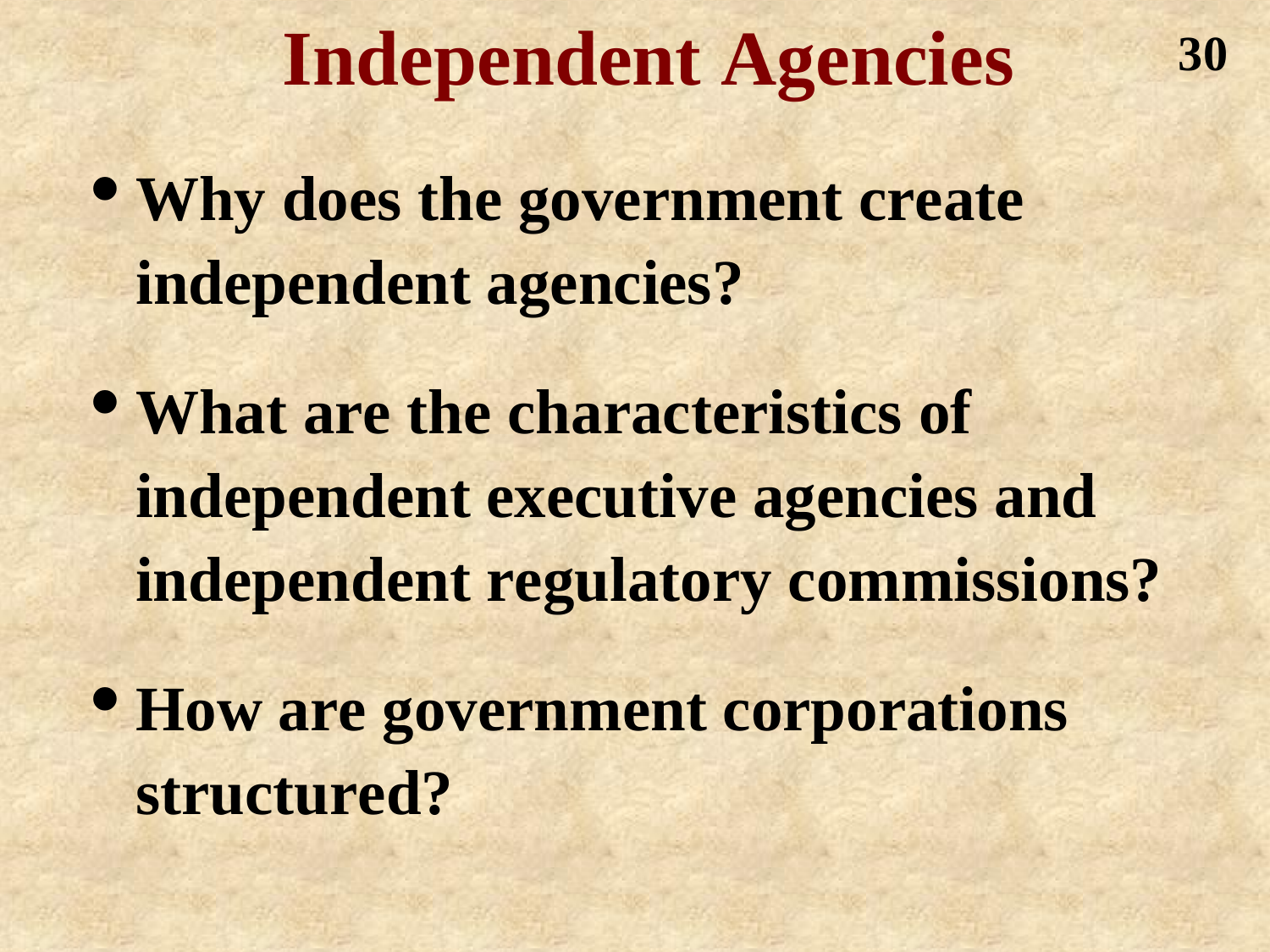#### **Independent Agencies**

- **Why does the government create independent agencies?**
- **What are the characteristics of independent executive agencies and independent regulatory commissions?**
- **How are government corporations structured?**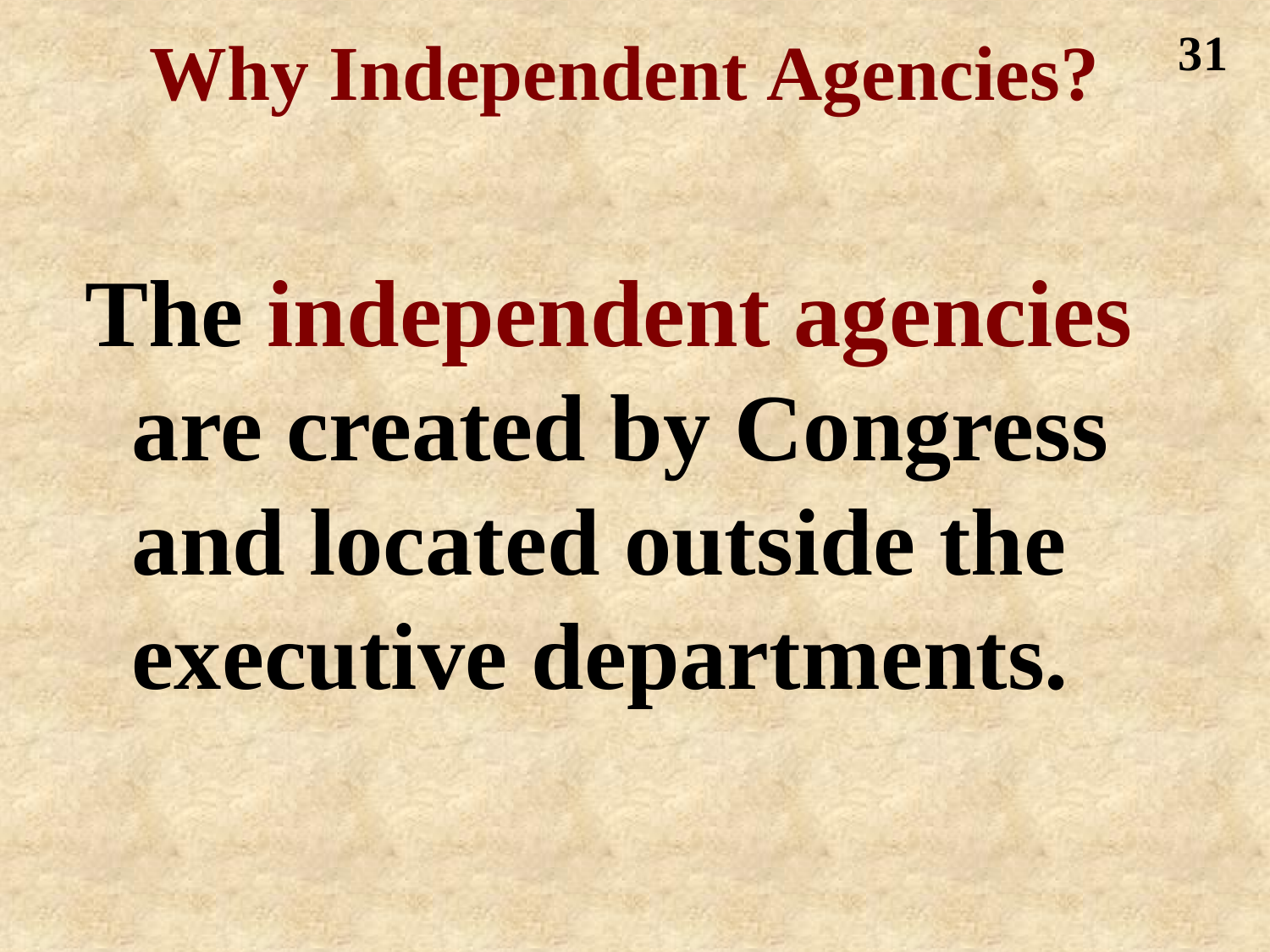#### **Why Independent Agencies? 31**

**The independent agencies are created by Congress and located outside the executive departments.**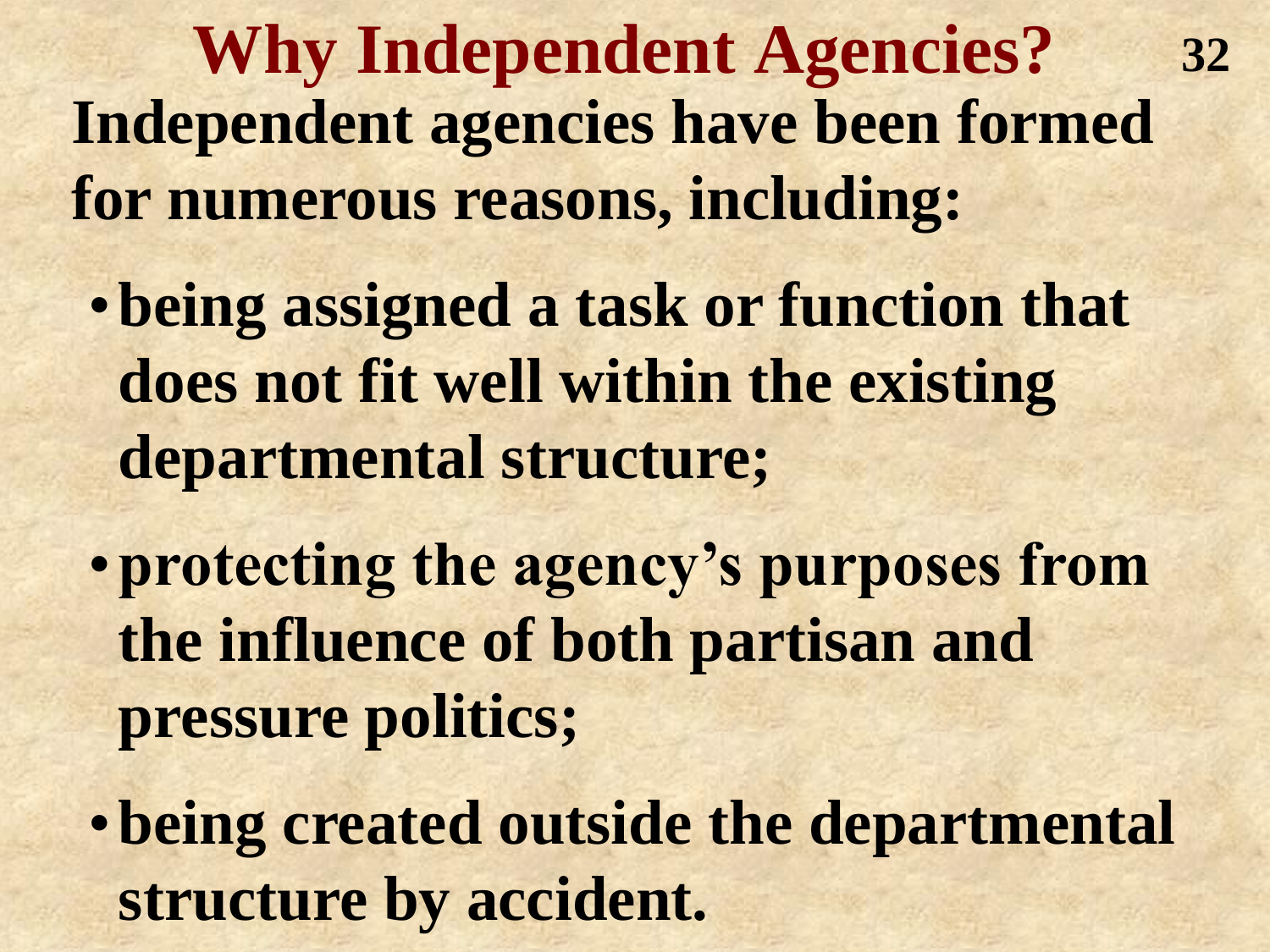**Why Independent Agencies? Independent agencies have been formed for numerous reasons, including: 32**

- •**being assigned a task or function that does not fit well within the existing departmental structure;**
- •**protecting the agency's purposes from the influence of both partisan and pressure politics;**
- •**being created outside the departmental structure by accident.**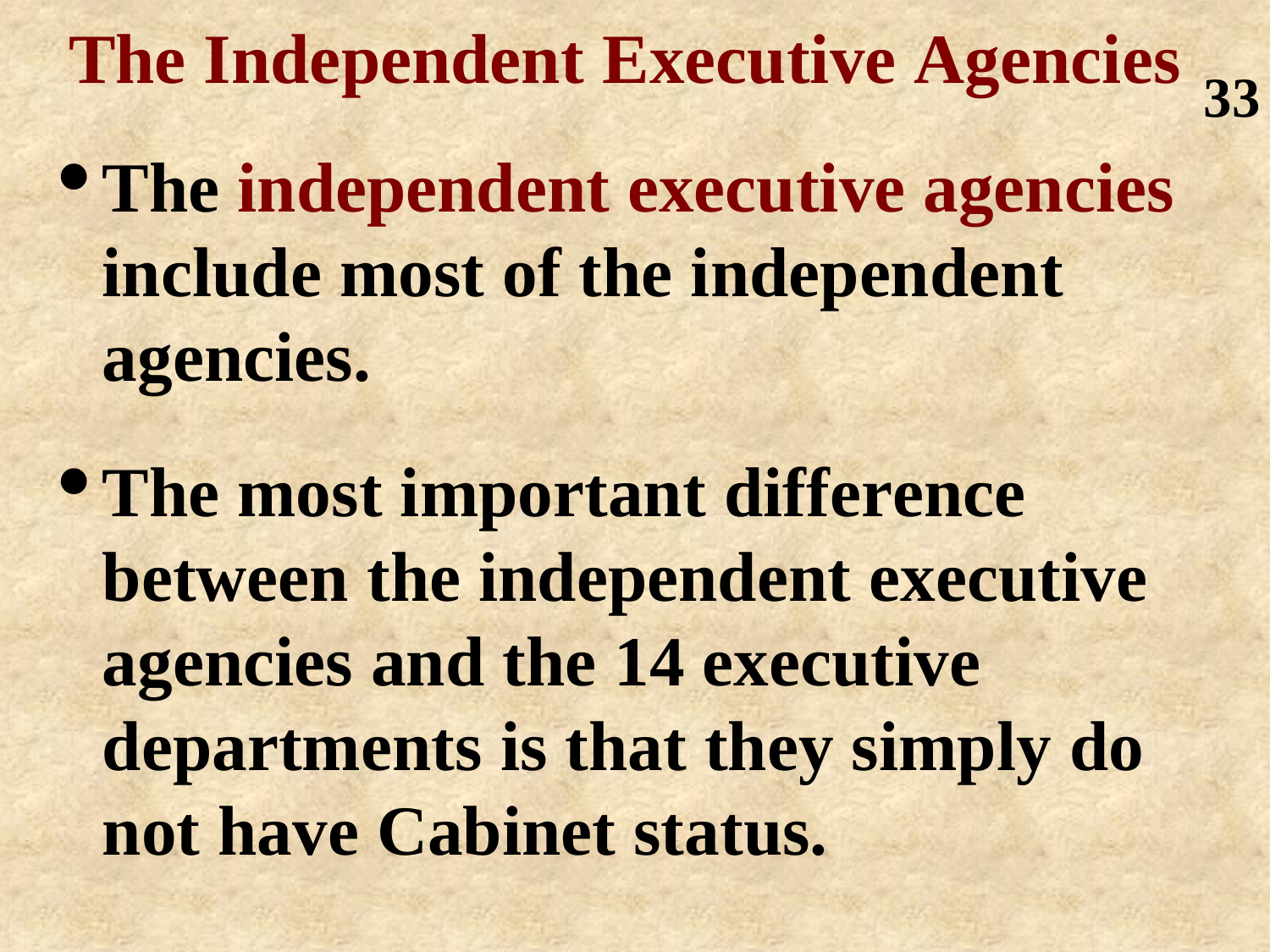**The Independent Executive Agencies 33**

- •**The independent executive agencies include most of the independent agencies.**
- •**The most important difference between the independent executive agencies and the 14 executive departments is that they simply do not have Cabinet status.**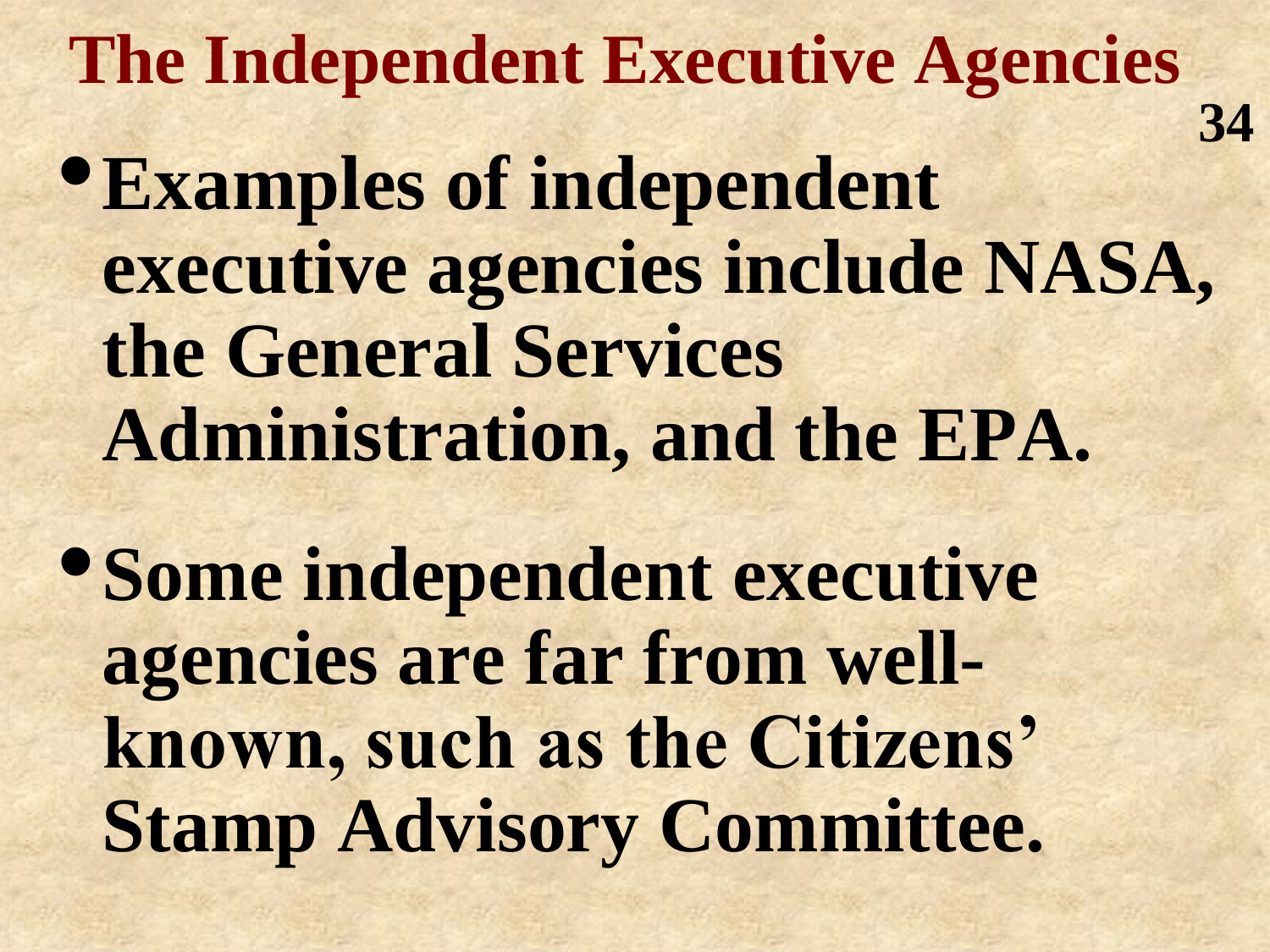**The Independent Executive Agencies** •**Examples of independent executive agencies include NASA, the General Services Administration, and the EPA. 34**

•**Some independent executive agencies are far from wellknown, such as the Citizens' Stamp Advisory Committee.**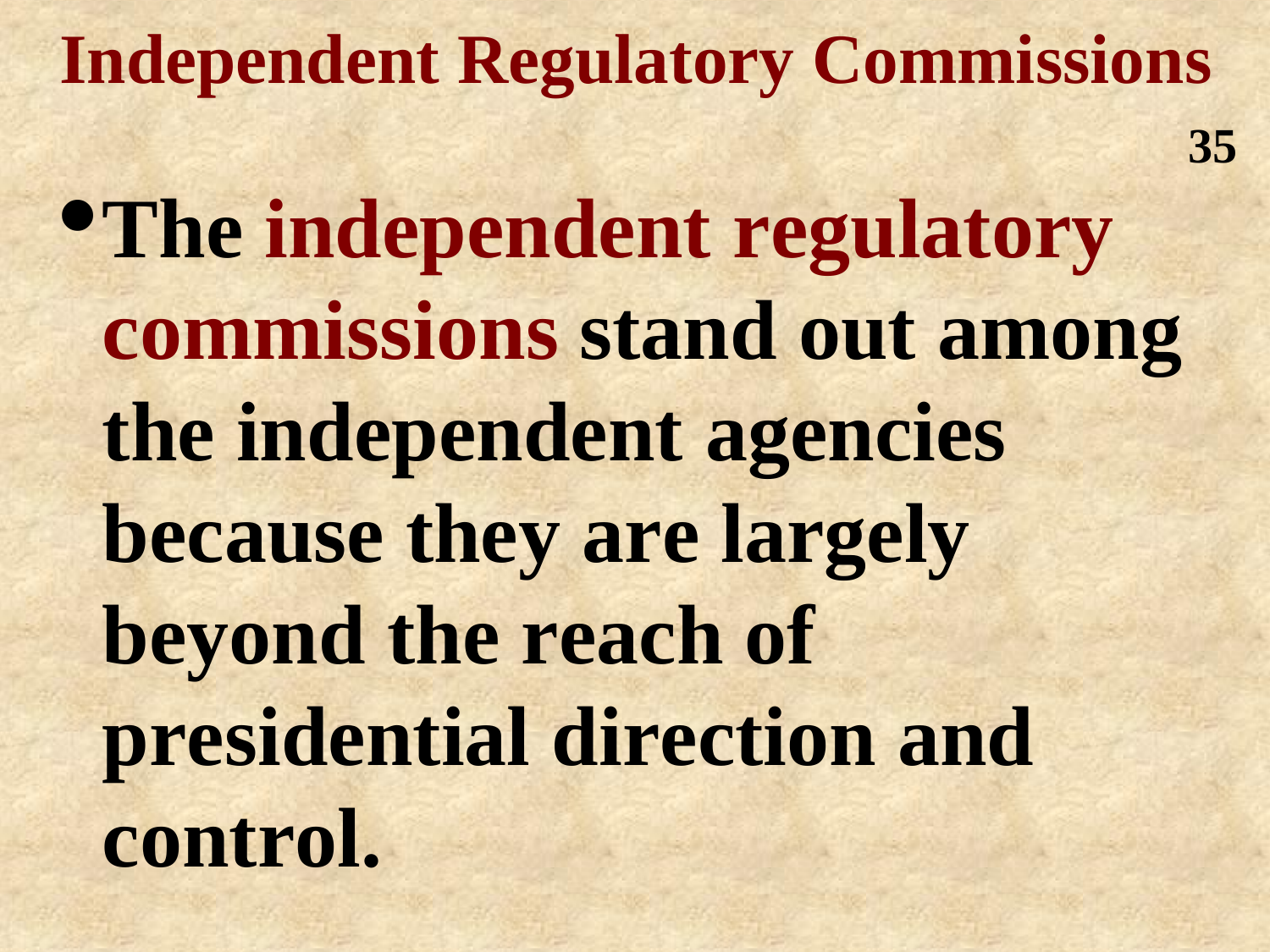#### **Independent Regulatory Commissions 35**

•**The independent regulatory commissions stand out among the independent agencies because they are largely beyond the reach of presidential direction and control.**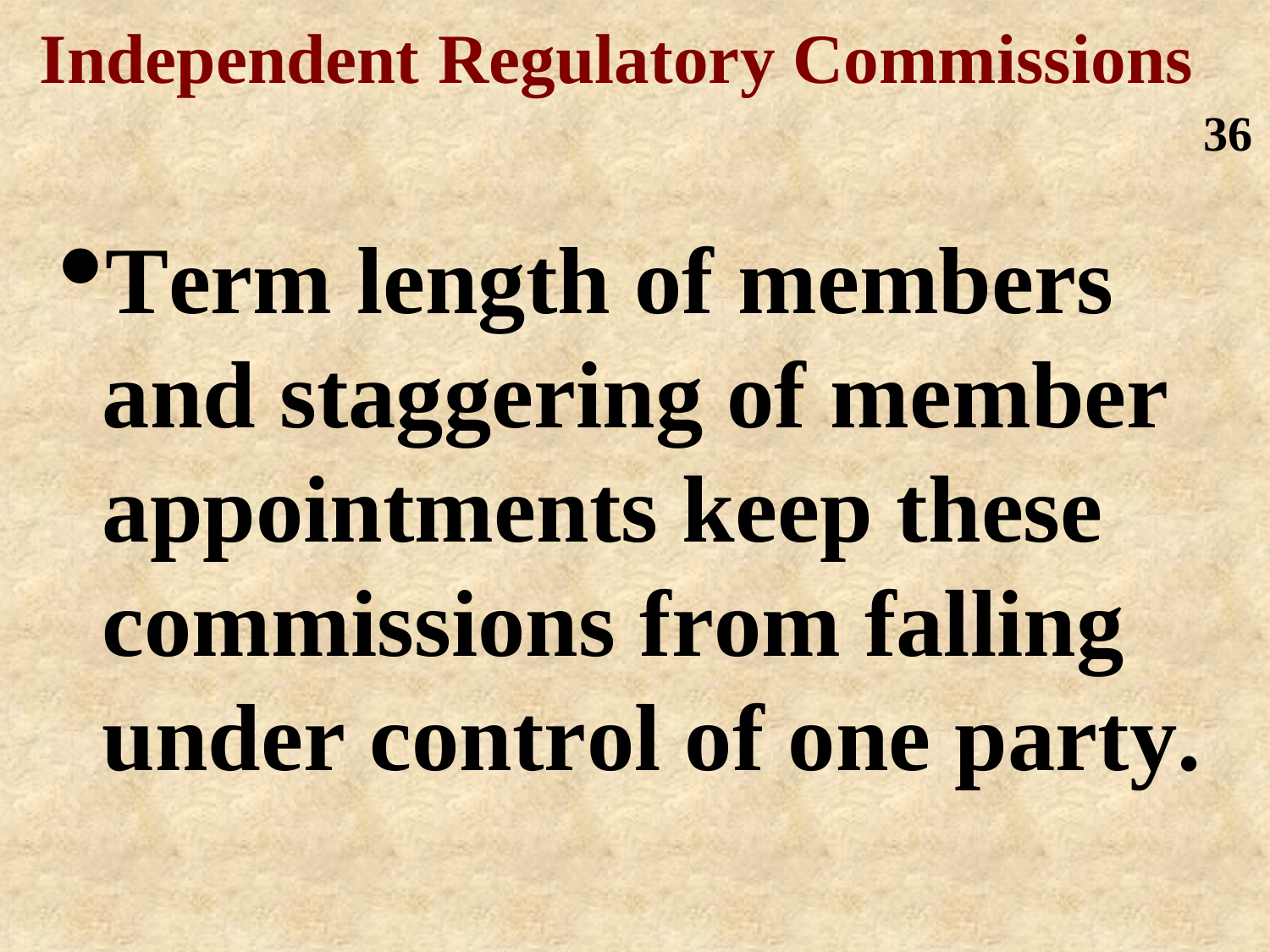### **Independent Regulatory Commissions**

**36**

•**Term length of members and staggering of member appointments keep these commissions from falling under control of one party.**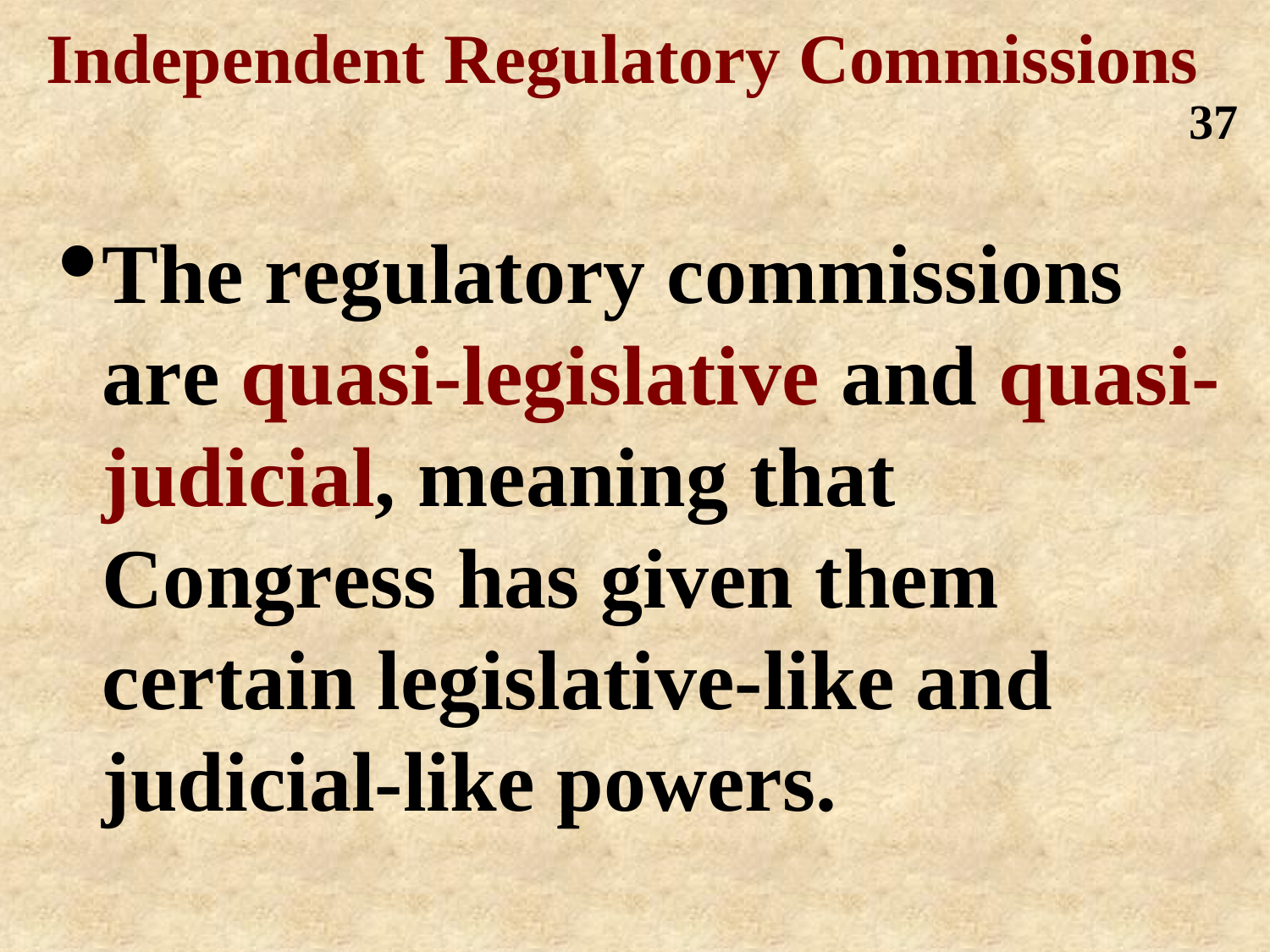#### **Independent Regulatory Commissions 37**

•**The regulatory commissions are quasi-legislative and quasijudicial, meaning that Congress has given them certain legislative-like and judicial-like powers.**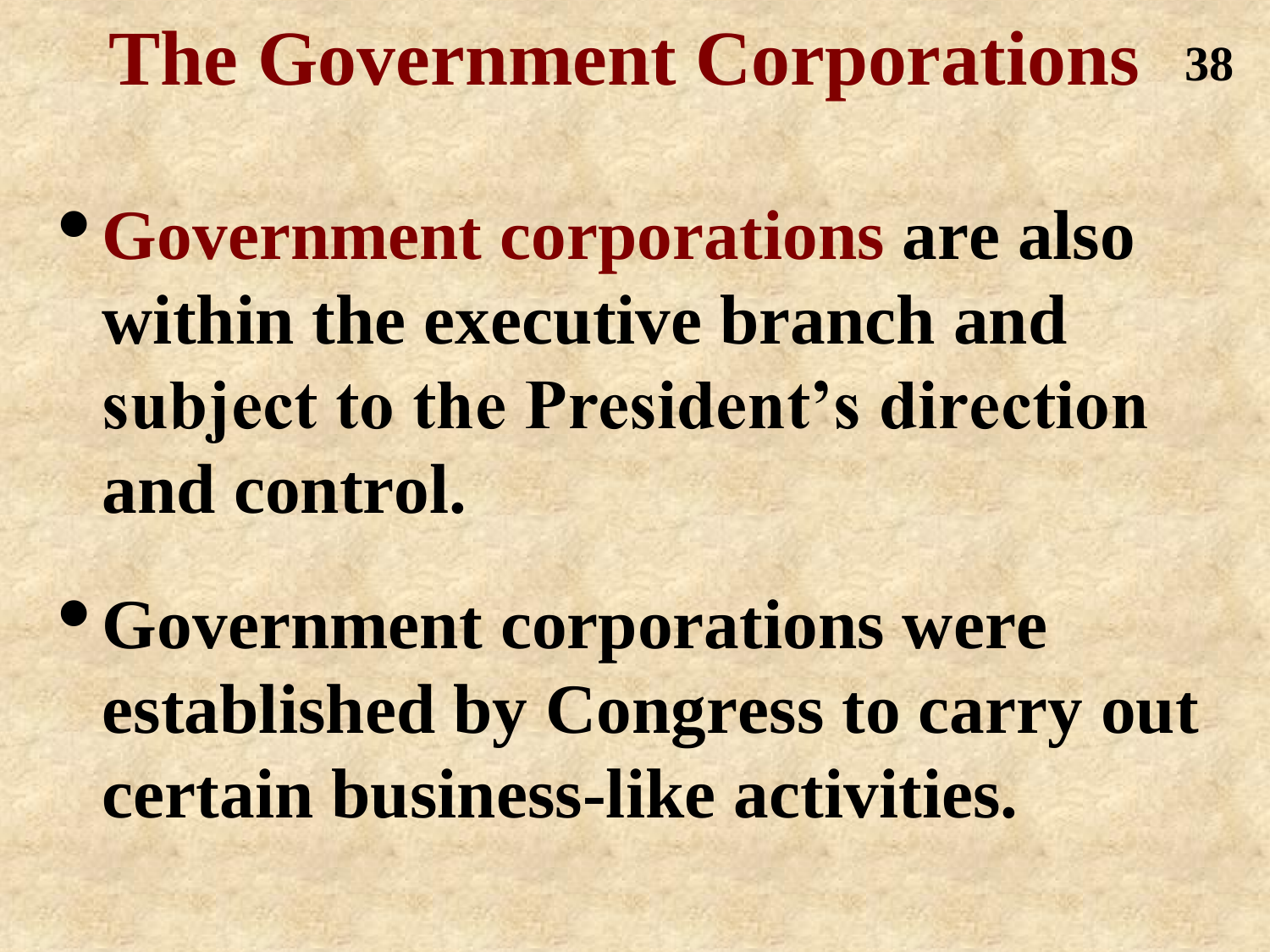### **The Government Corporations 38**

•**Government corporations are also within the executive branch and subject to the President's direction and control.** 

•**Government corporations were established by Congress to carry out certain business-like activities.**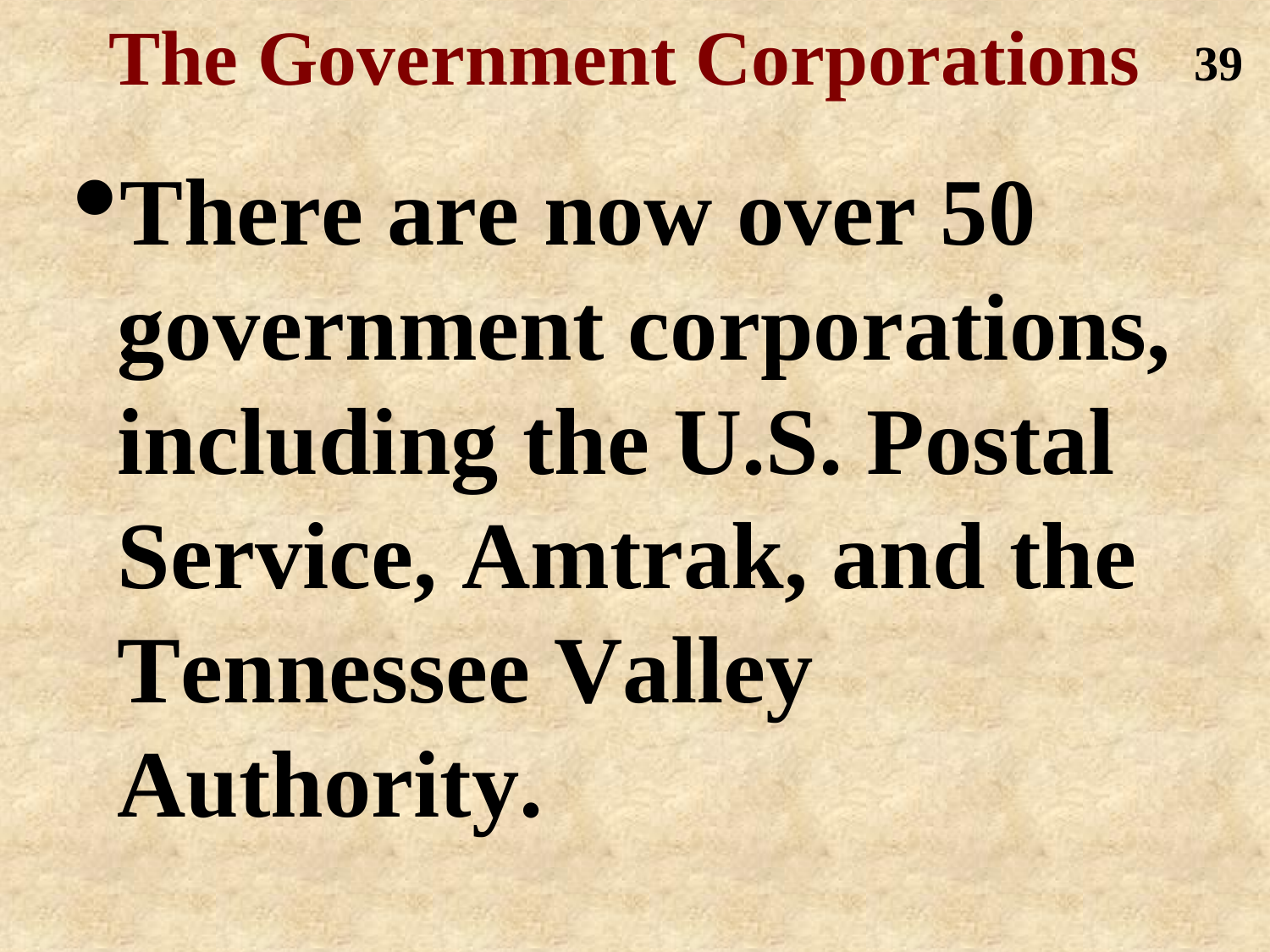**The Government Corporations 39**•**There are now over 50 government corporations, including the U.S. Postal Service, Amtrak, and the Tennessee Valley Authority.**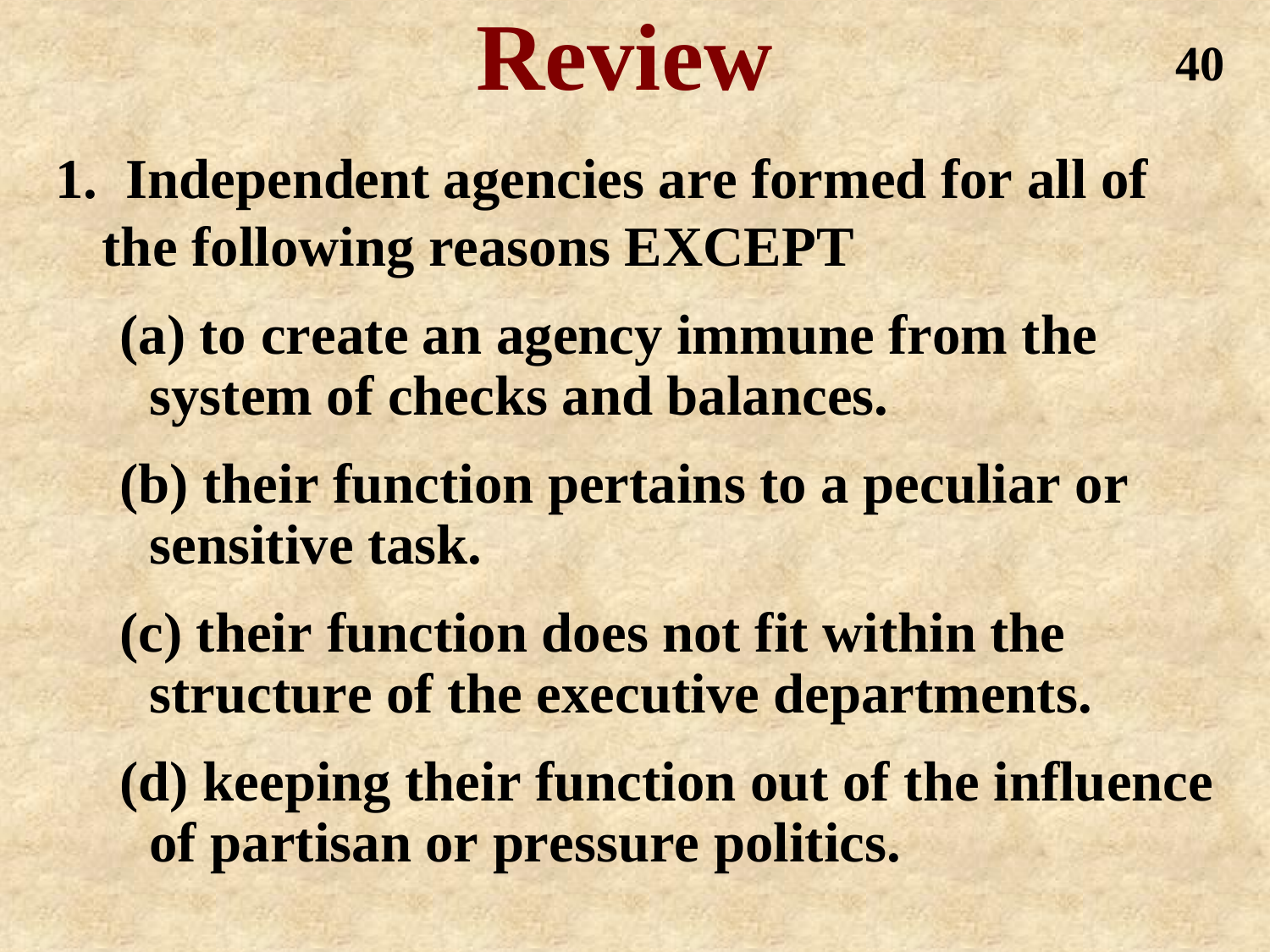## **Review**

- **1. Independent agencies are formed for all of the following reasons EXCEPT**
	- **(a) to create an agency immune from the system of checks and balances.**
	- **(b) their function pertains to a peculiar or sensitive task.**
	- **(c) their function does not fit within the structure of the executive departments.**
	- **(d) keeping their function out of the influence of partisan or pressure politics.**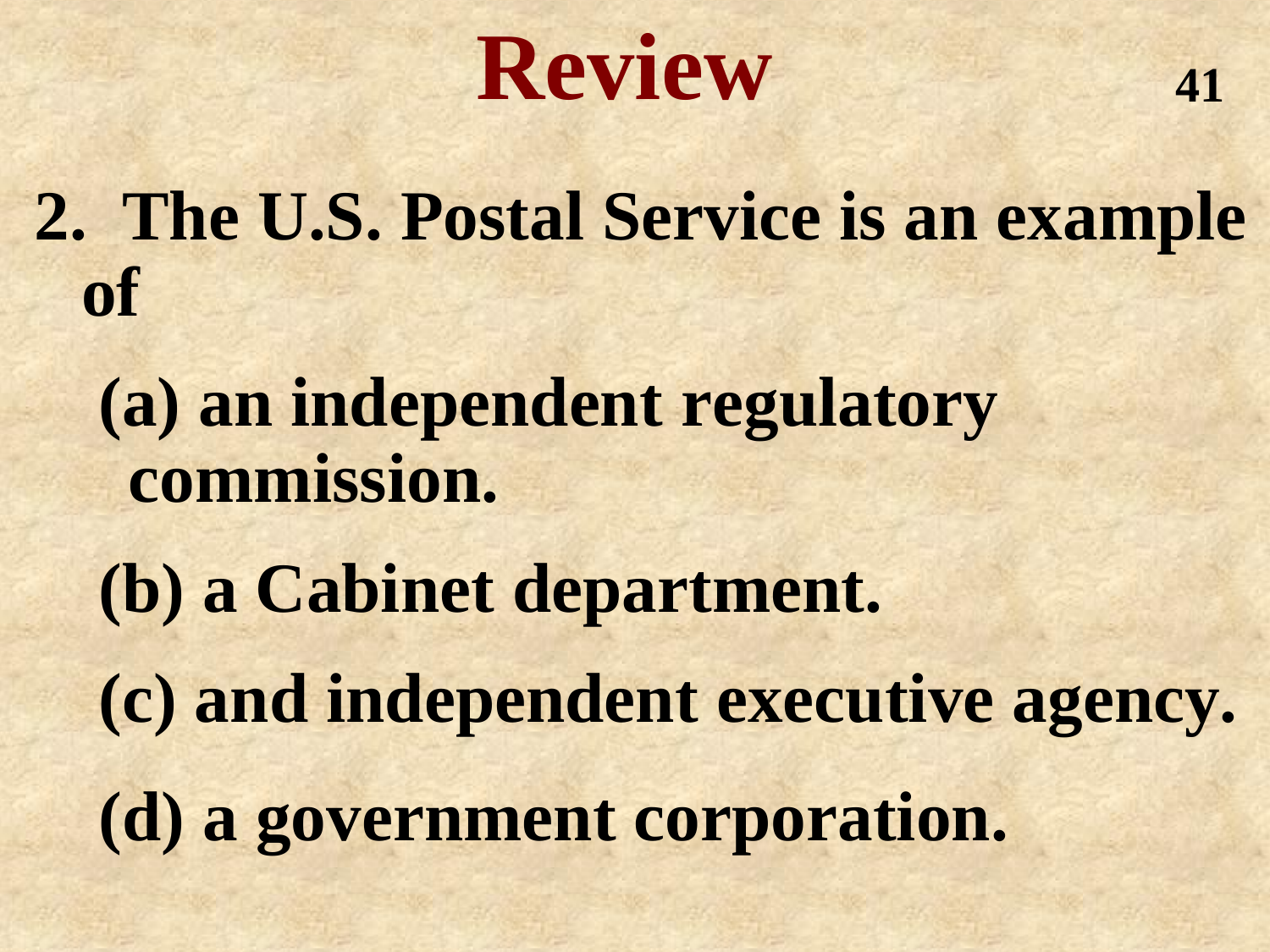**Review**

**2. The U.S. Postal Service is an example of**

**(a) an independent regulatory commission.**

**(b) a Cabinet department. (c) and independent executive agency. (d) a government corporation.**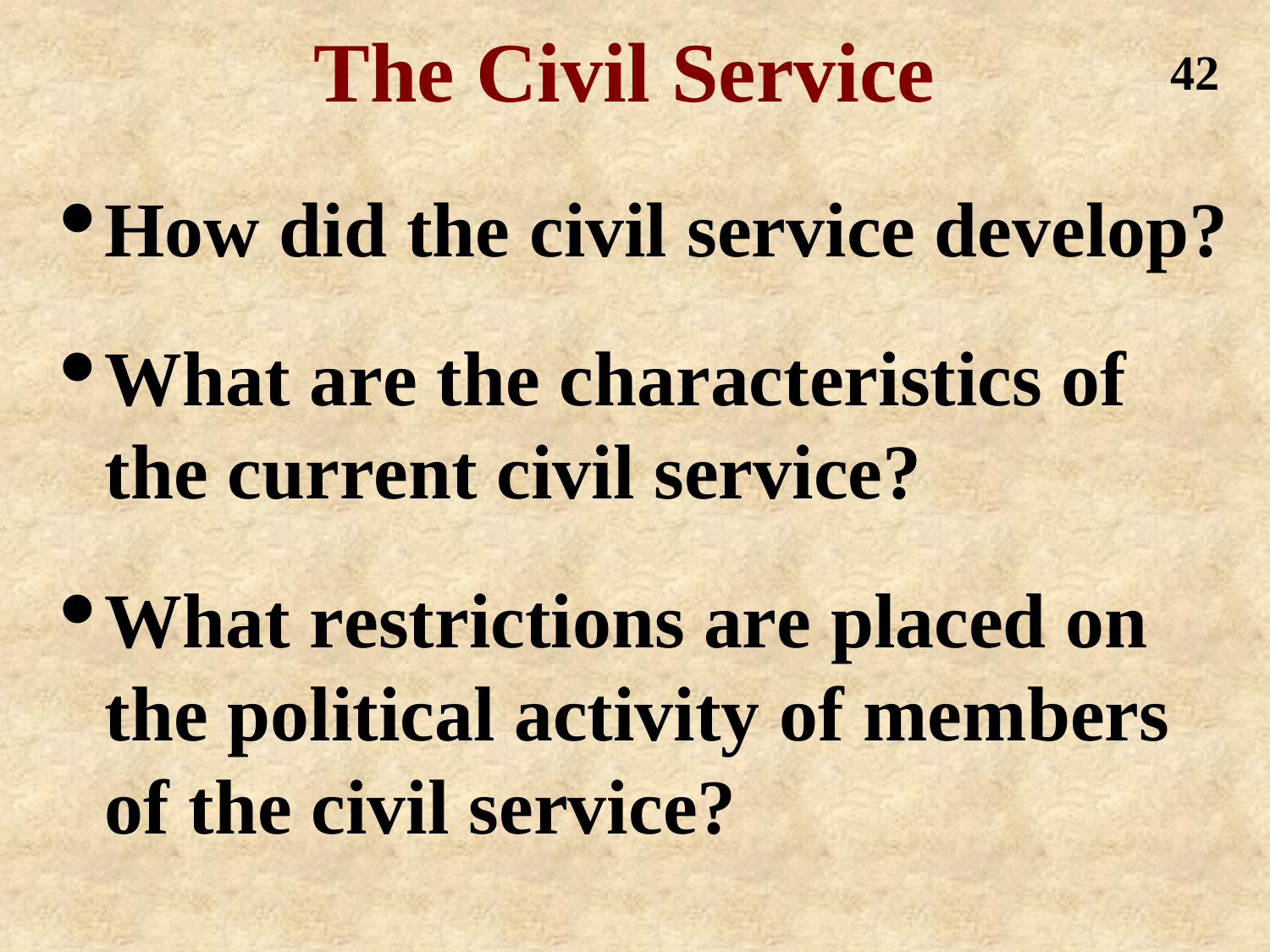### **The Civil Service**

**42**

•**How did the civil service develop?**

•**What are the characteristics of the current civil service?**

•**What restrictions are placed on the political activity of members of the civil service?**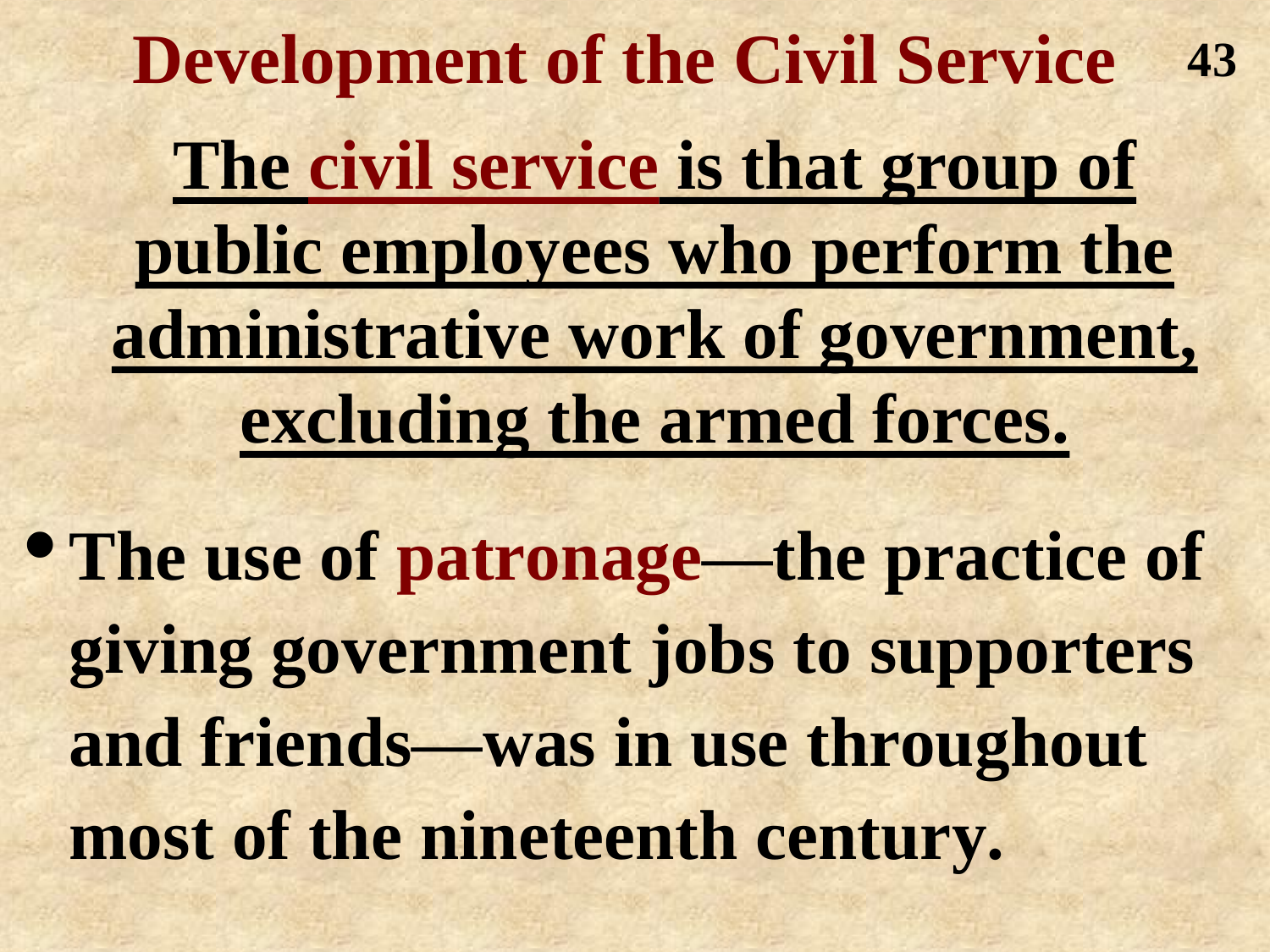**Development of the Civil Service The civil service is that group of public employees who perform the administrative work of government, excluding the armed forces. 43**

•**The use of patronage—the practice of giving government jobs to supporters and friends—was in use throughout most of the nineteenth century.**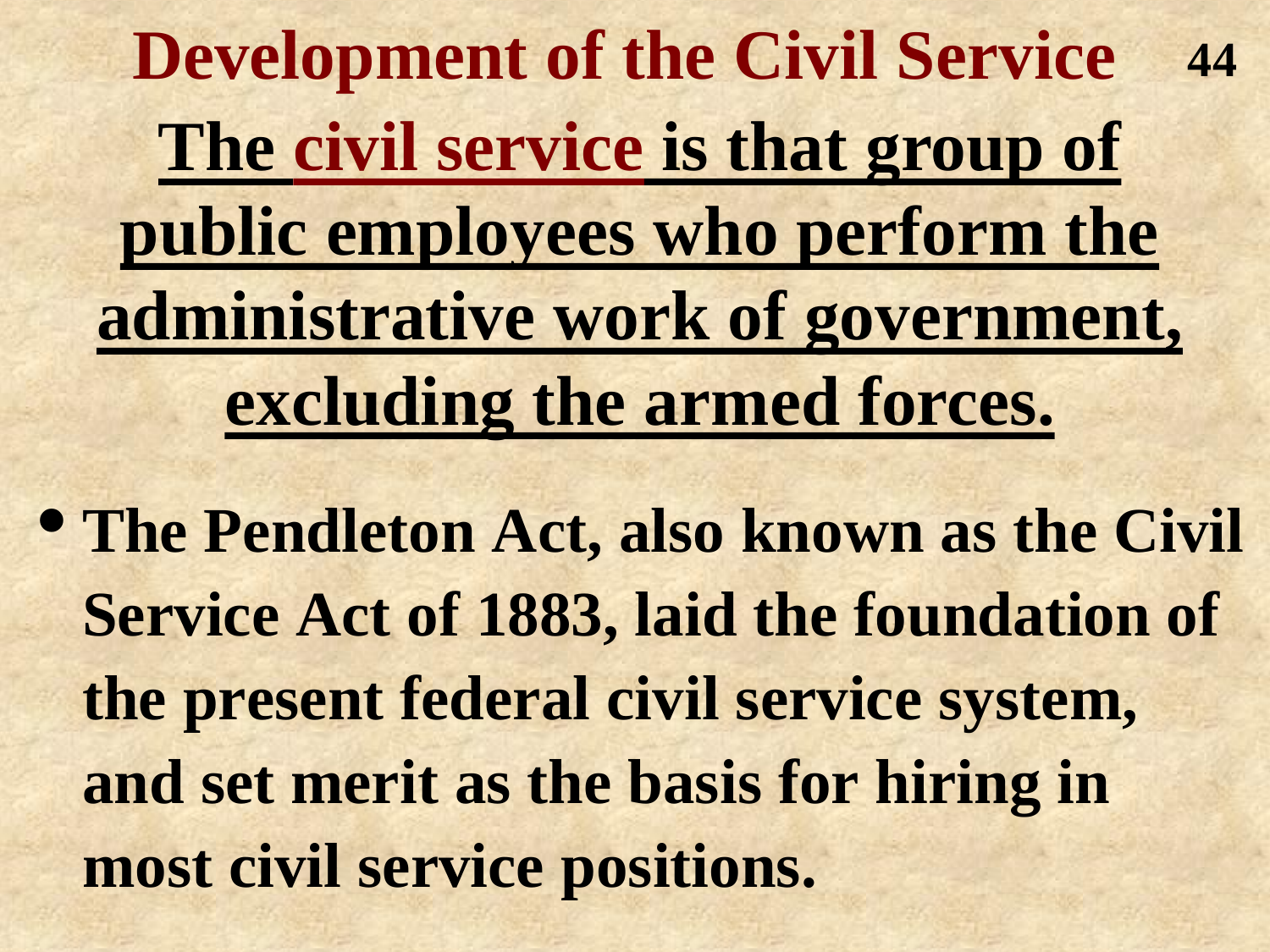**Development of the Civil Service The civil service is that group of public employees who perform the administrative work of government, excluding the armed forces. 44**

• **The Pendleton Act, also known as the Civil Service Act of 1883, laid the foundation of the present federal civil service system, and set merit as the basis for hiring in most civil service positions.**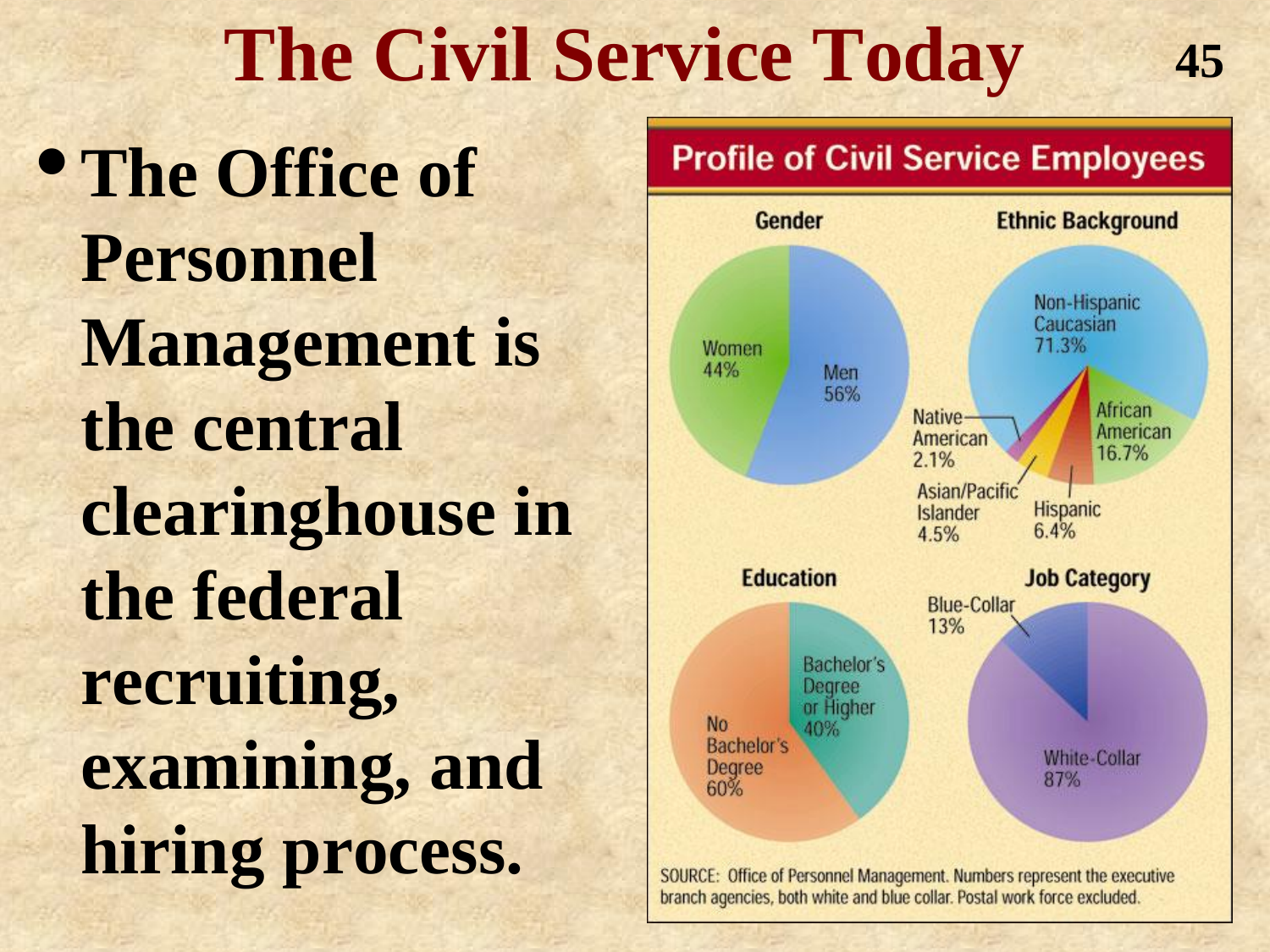### **The Civil Service Today**

•**The Office of Personnel Management is the central clearinghouse in the federal recruiting, examining, and hiring process.**



**45**

SOURCE: Office of Personnel Management. Numbers represent the executive branch agencies, both white and blue collar. Postal work force excluded.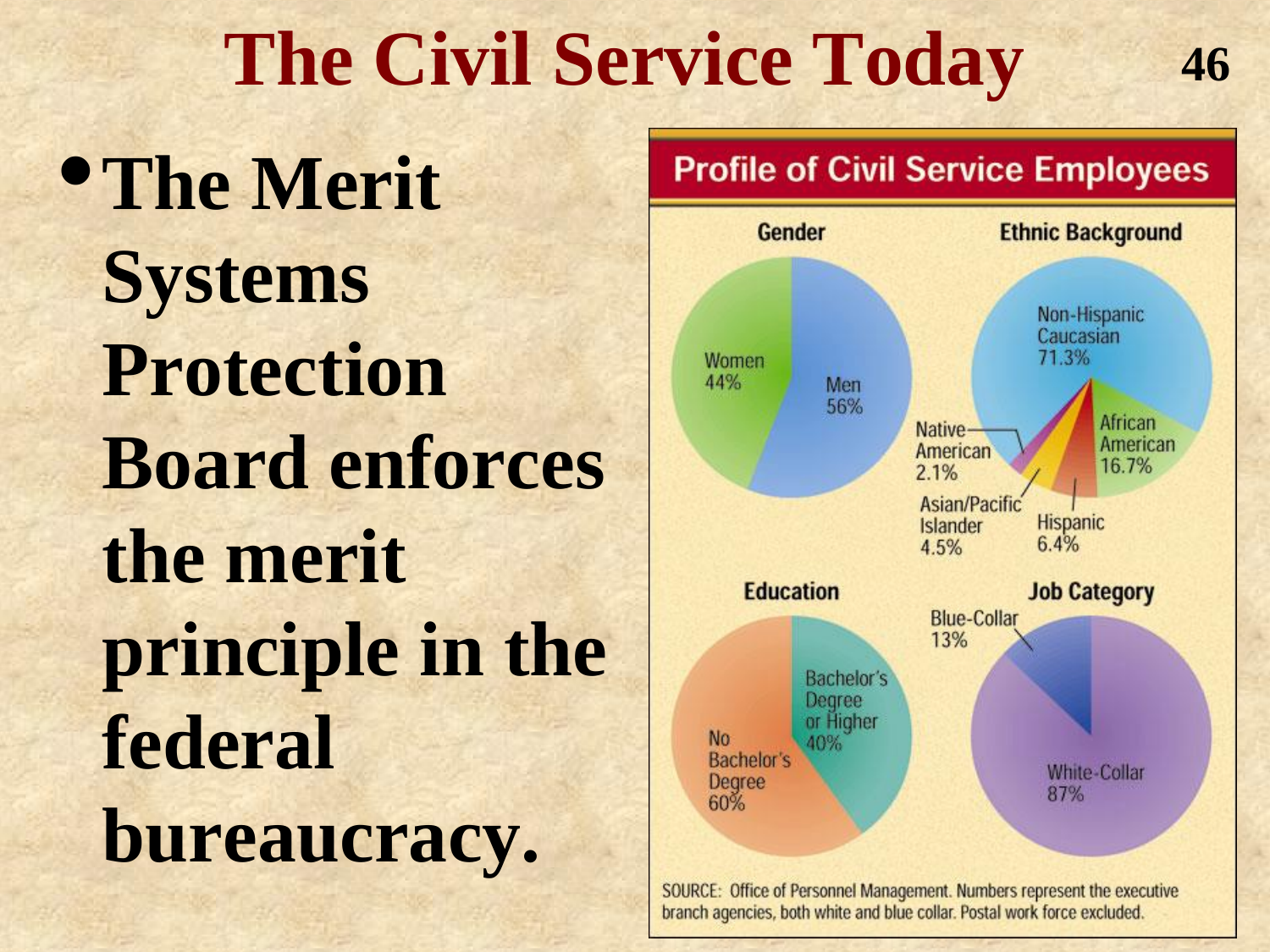### **The Civil Service Today**

•**The Merit Systems Protection Board enforces the merit principle in the federal bureaucracy.**



**46**

SOURCE: Office of Personnel Management. Numbers represent the executive branch agencies, both white and blue collar. Postal work force excluded.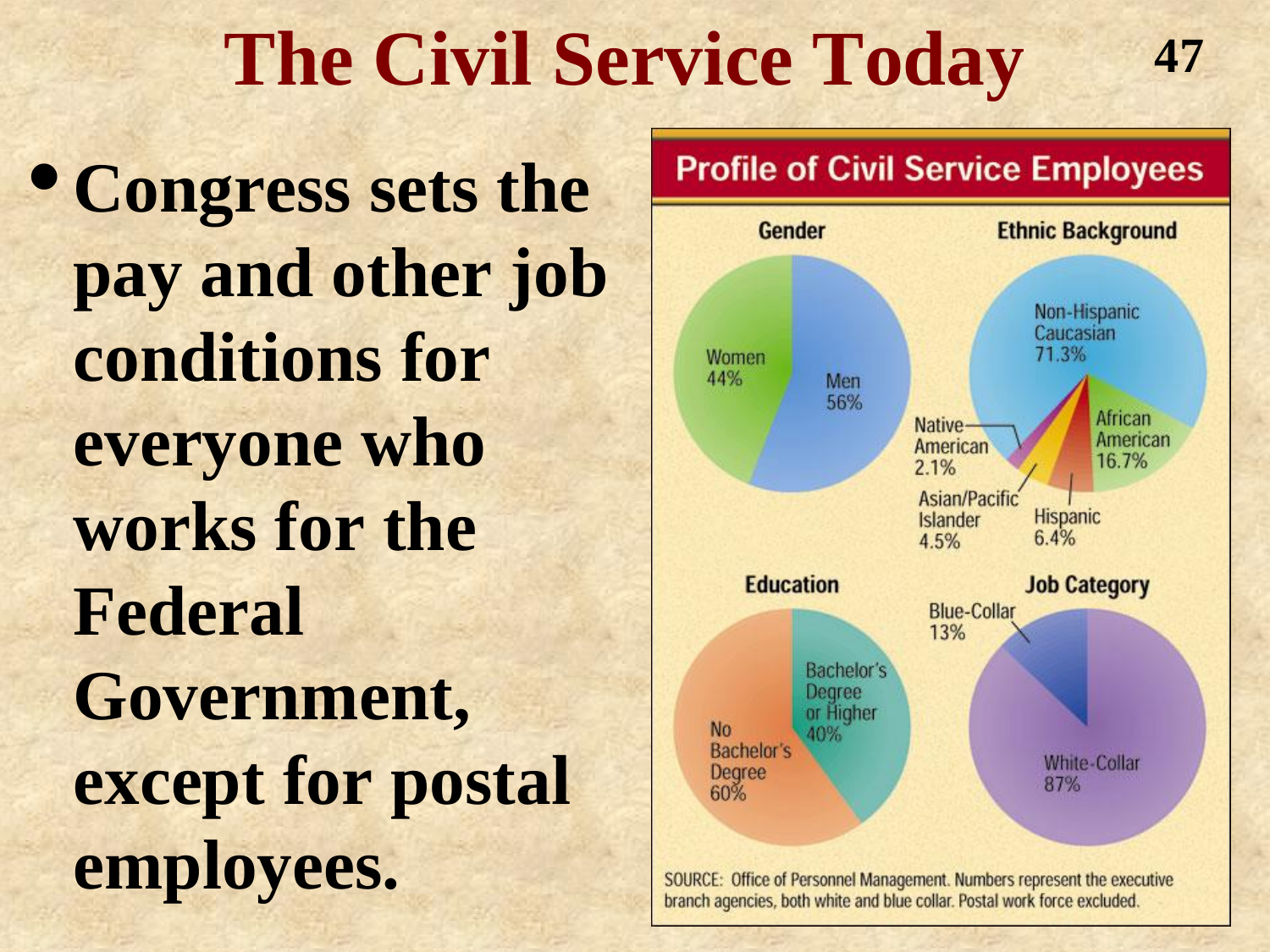### **The Civil Service Today**

•**Congress sets the pay and other job conditions for everyone who works for the Federal Government, except for postal employees.**



**47**

SOURCE: Office of Personnel Management. Numbers represent the executive branch agencies, both white and blue collar. Postal work force excluded.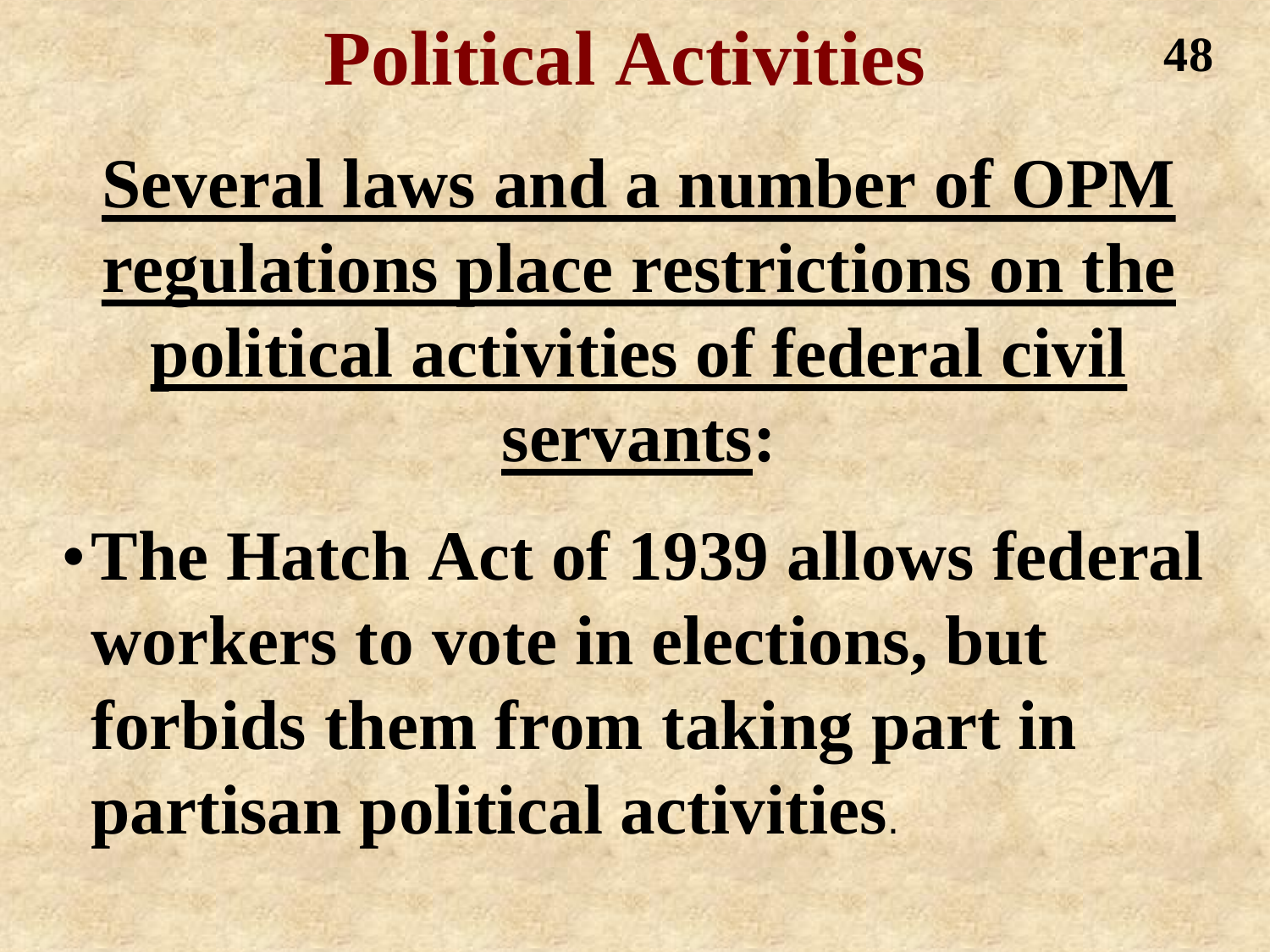#### **Political Activities**

**48**

**Several laws and a number of OPM regulations place restrictions on the political activities of federal civil** 

#### **servants:**

•**The Hatch Act of 1939 allows federal workers to vote in elections, but forbids them from taking part in partisan political activities**.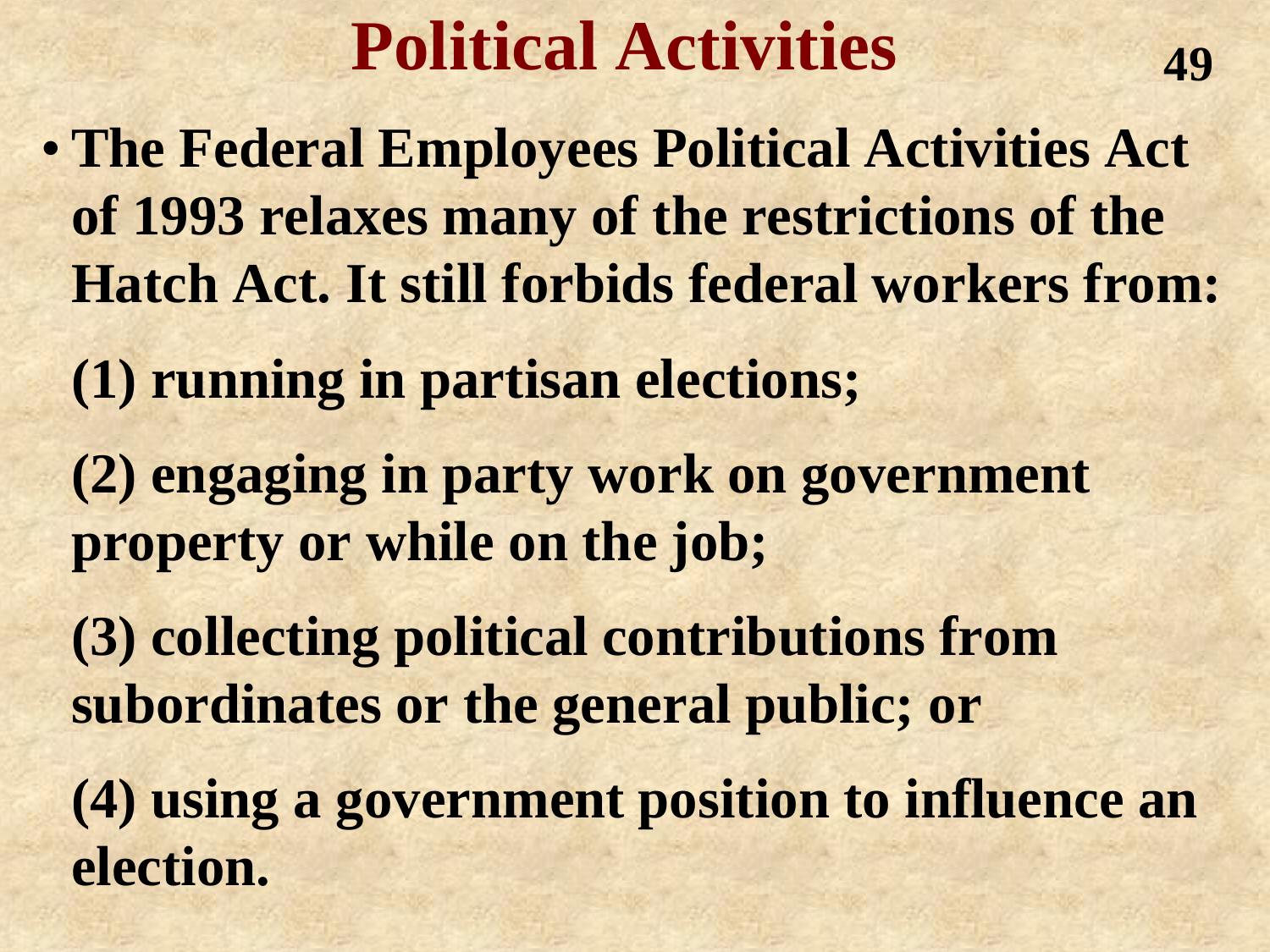#### **Political Activities**

**49**

- **The Federal Employees Political Activities Act of 1993 relaxes many of the restrictions of the Hatch Act. It still forbids federal workers from:**
	- **(1) running in partisan elections;**
	- **(2) engaging in party work on government property or while on the job;**
	- **(3) collecting political contributions from subordinates or the general public; or**
	- **(4) using a government position to influence an election.**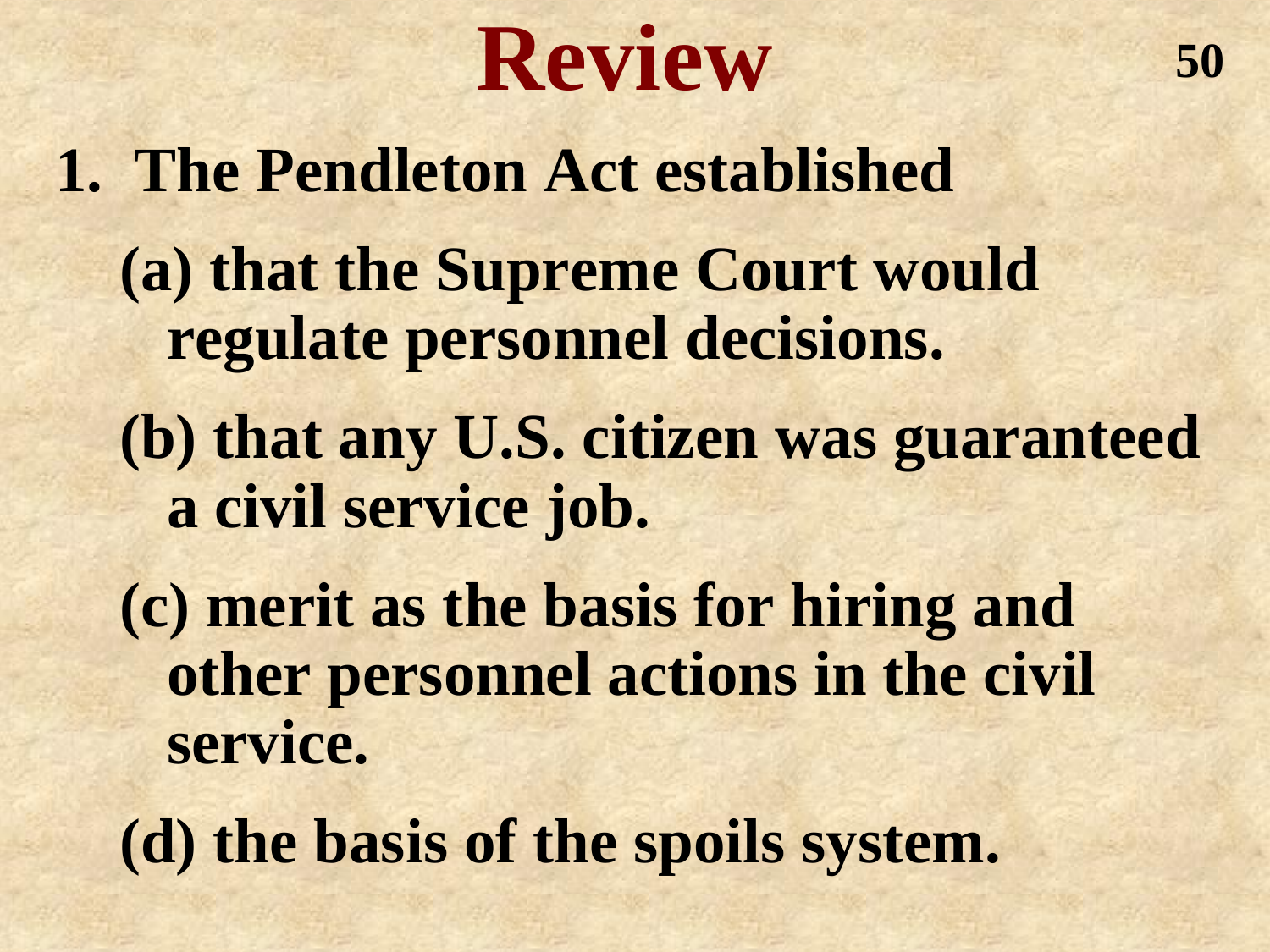## **Review**

**1. The Pendleton Act established (a) that the Supreme Court would regulate personnel decisions. (b) that any U.S. citizen was guaranteed a civil service job. (c) merit as the basis for hiring and other personnel actions in the civil service. (d) the basis of the spoils system.**